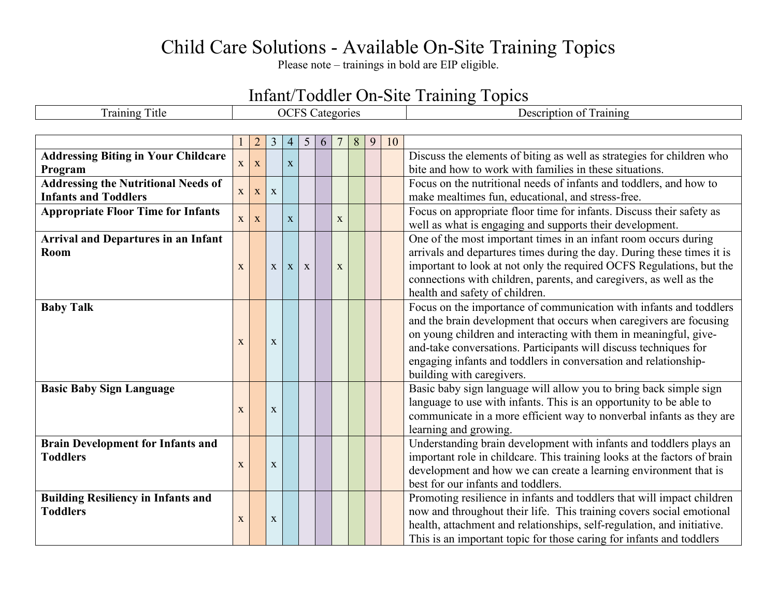## Child Care Solutions - Available On-Site Training Topics

Please note – trainings in bold are EIP eligible.

## Infant/Toddler On-Site Training Topics

| <b>Training Title</b>                      | <b>OCFS</b> Categories |                |              |                |             |   |             |   |   |    | Description of Training                                                  |
|--------------------------------------------|------------------------|----------------|--------------|----------------|-------------|---|-------------|---|---|----|--------------------------------------------------------------------------|
|                                            |                        |                |              |                |             |   |             |   |   |    |                                                                          |
|                                            |                        | $\overline{2}$ | 3            | $\overline{4}$ | 5           | 6 |             | 8 | 9 | 10 |                                                                          |
| <b>Addressing Biting in Your Childcare</b> |                        |                |              |                |             |   |             |   |   |    | Discuss the elements of biting as well as strategies for children who    |
| Program                                    | $\mathbf X$            | X              |              | $\mathbf{X}$   |             |   |             |   |   |    | bite and how to work with families in these situations.                  |
| <b>Addressing the Nutritional Needs of</b> |                        |                |              |                |             |   |             |   |   |    | Focus on the nutritional needs of infants and toddlers, and how to       |
| <b>Infants and Toddlers</b>                | $\mathbf X$            | X              | $\mathbf{X}$ |                |             |   |             |   |   |    | make mealtimes fun, educational, and stress-free.                        |
| <b>Appropriate Floor Time for Infants</b>  |                        |                |              |                |             |   |             |   |   |    | Focus on appropriate floor time for infants. Discuss their safety as     |
|                                            | $\mathbf{X}$           | X              |              | $\mathbf X$    |             |   | $\mathbf X$ |   |   |    | well as what is engaging and supports their development.                 |
| <b>Arrival and Departures in an Infant</b> |                        |                |              |                |             |   |             |   |   |    | One of the most important times in an infant room occurs during          |
| Room                                       |                        |                |              |                |             |   |             |   |   |    | arrivals and departures times during the day. During these times it is   |
|                                            | $\mathbf{X}$           |                | $\mathbf X$  | X              | $\mathbf X$ |   | $\mathbf X$ |   |   |    | important to look at not only the required OCFS Regulations, but the     |
|                                            |                        |                |              |                |             |   |             |   |   |    | connections with children, parents, and caregivers, as well as the       |
|                                            |                        |                |              |                |             |   |             |   |   |    | health and safety of children.                                           |
| <b>Baby Talk</b>                           |                        |                |              |                |             |   |             |   |   |    | Focus on the importance of communication with infants and toddlers       |
|                                            |                        |                |              |                |             |   |             |   |   |    | and the brain development that occurs when caregivers are focusing       |
|                                            | X                      |                | $\mathbf X$  |                |             |   |             |   |   |    | on young children and interacting with them in meaningful, give-         |
|                                            |                        |                |              |                |             |   |             |   |   |    | and-take conversations. Participants will discuss techniques for         |
|                                            |                        |                |              |                |             |   |             |   |   |    | engaging infants and toddlers in conversation and relationship-          |
|                                            |                        |                |              |                |             |   |             |   |   |    | building with caregivers.                                                |
| <b>Basic Baby Sign Language</b>            |                        |                |              |                |             |   |             |   |   |    | Basic baby sign language will allow you to bring back simple sign        |
|                                            | $\mathbf{X}$           |                | $\mathbf X$  |                |             |   |             |   |   |    | language to use with infants. This is an opportunity to be able to       |
|                                            |                        |                |              |                |             |   |             |   |   |    | communicate in a more efficient way to nonverbal infants as they are     |
|                                            |                        |                |              |                |             |   |             |   |   |    | learning and growing.                                                    |
| <b>Brain Development for Infants and</b>   |                        |                |              |                |             |   |             |   |   |    | Understanding brain development with infants and toddlers plays an       |
| <b>Toddlers</b>                            | X                      |                | $\mathbf X$  |                |             |   |             |   |   |    | important role in childcare. This training looks at the factors of brain |
|                                            |                        |                |              |                |             |   |             |   |   |    | development and how we can create a learning environment that is         |
|                                            |                        |                |              |                |             |   |             |   |   |    | best for our infants and toddlers.                                       |
| <b>Building Resiliency in Infants and</b>  |                        |                |              |                |             |   |             |   |   |    | Promoting resilience in infants and toddlers that will impact children   |
| <b>Toddlers</b>                            | $\mathbf X$            |                | $\mathbf X$  |                |             |   |             |   |   |    | now and throughout their life. This training covers social emotional     |
|                                            |                        |                |              |                |             |   |             |   |   |    | health, attachment and relationships, self-regulation, and initiative.   |
|                                            |                        |                |              |                |             |   |             |   |   |    | This is an important topic for those caring for infants and toddlers     |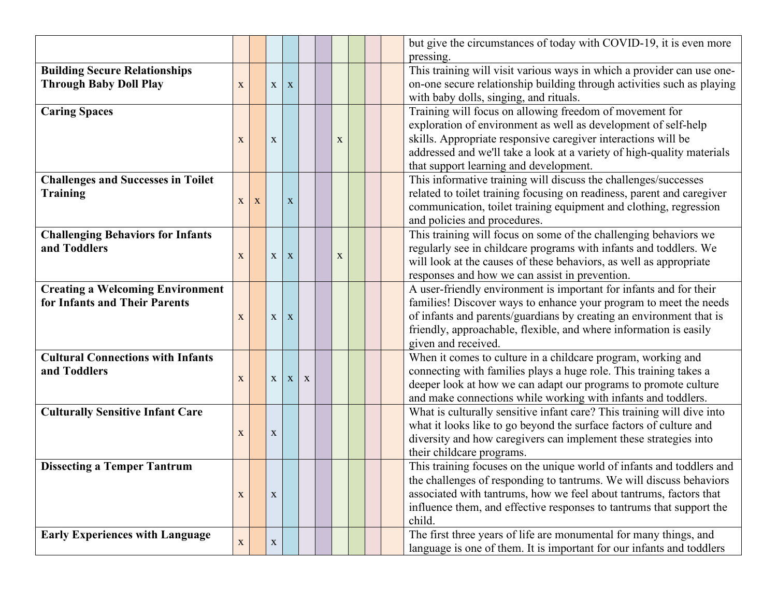|                                           |             |   |              |              |             |   |  | but give the circumstances of today with COVID-19, it is even more     |
|-------------------------------------------|-------------|---|--------------|--------------|-------------|---|--|------------------------------------------------------------------------|
|                                           |             |   |              |              |             |   |  | pressing.                                                              |
| <b>Building Secure Relationships</b>      |             |   |              |              |             |   |  | This training will visit various ways in which a provider can use one- |
| <b>Through Baby Doll Play</b>             | $\mathbf X$ |   | $\mathbf X$  | X            |             |   |  | on-one secure relationship building through activities such as playing |
|                                           |             |   |              |              |             |   |  | with baby dolls, singing, and rituals.                                 |
| <b>Caring Spaces</b>                      |             |   |              |              |             |   |  | Training will focus on allowing freedom of movement for                |
|                                           |             |   |              |              |             |   |  | exploration of environment as well as development of self-help         |
|                                           | $\mathbf X$ |   | $\mathbf X$  |              |             | X |  | skills. Appropriate responsive caregiver interactions will be          |
|                                           |             |   |              |              |             |   |  | addressed and we'll take a look at a variety of high-quality materials |
|                                           |             |   |              |              |             |   |  | that support learning and development.                                 |
| <b>Challenges and Successes in Toilet</b> |             |   |              |              |             |   |  | This informative training will discuss the challenges/successes        |
| <b>Training</b>                           |             |   |              |              |             |   |  | related to toilet training focusing on readiness, parent and caregiver |
|                                           | X           | X |              | $\mathbf X$  |             |   |  | communication, toilet training equipment and clothing, regression      |
|                                           |             |   |              |              |             |   |  | and policies and procedures.                                           |
| <b>Challenging Behaviors for Infants</b>  |             |   |              |              |             |   |  | This training will focus on some of the challenging behaviors we       |
| and Toddlers                              |             |   |              |              |             |   |  | regularly see in childcare programs with infants and toddlers. We      |
|                                           | $\mathbf X$ |   | $\mathbf X$  | $\mathbf X$  |             | X |  | will look at the causes of these behaviors, as well as appropriate     |
|                                           |             |   |              |              |             |   |  | responses and how we can assist in prevention.                         |
| <b>Creating a Welcoming Environment</b>   |             |   |              |              |             |   |  | A user-friendly environment is important for infants and for their     |
| for Infants and Their Parents             |             |   |              |              |             |   |  | families! Discover ways to enhance your program to meet the needs      |
|                                           | $\mathbf X$ |   | $\mathbf X$  | X            |             |   |  | of infants and parents/guardians by creating an environment that is    |
|                                           |             |   |              |              |             |   |  | friendly, approachable, flexible, and where information is easily      |
|                                           |             |   |              |              |             |   |  | given and received.                                                    |
| <b>Cultural Connections with Infants</b>  |             |   |              |              |             |   |  | When it comes to culture in a childcare program, working and           |
| and Toddlers                              |             |   |              |              |             |   |  | connecting with families plays a huge role. This training takes a      |
|                                           | $\mathbf X$ |   | $\mathbf X$  | $\mathbf{X}$ | $\mathbf X$ |   |  | deeper look at how we can adapt our programs to promote culture        |
|                                           |             |   |              |              |             |   |  | and make connections while working with infants and toddlers.          |
| <b>Culturally Sensitive Infant Care</b>   |             |   |              |              |             |   |  | What is culturally sensitive infant care? This training will dive into |
|                                           |             |   |              |              |             |   |  | what it looks like to go beyond the surface factors of culture and     |
|                                           | $\mathbf X$ |   | $\mathbf X$  |              |             |   |  | diversity and how caregivers can implement these strategies into       |
|                                           |             |   |              |              |             |   |  | their childcare programs.                                              |
| <b>Dissecting a Temper Tantrum</b>        |             |   |              |              |             |   |  | This training focuses on the unique world of infants and toddlers and  |
|                                           |             |   |              |              |             |   |  | the challenges of responding to tantrums. We will discuss behaviors    |
|                                           | $\mathbf X$ |   | X            |              |             |   |  | associated with tantrums, how we feel about tantrums, factors that     |
|                                           |             |   |              |              |             |   |  | influence them, and effective responses to tantrums that support the   |
|                                           |             |   |              |              |             |   |  | child.                                                                 |
| <b>Early Experiences with Language</b>    |             |   |              |              |             |   |  | The first three years of life are monumental for many things, and      |
|                                           | $\mathbf X$ |   | $\mathbf{X}$ |              |             |   |  | language is one of them. It is important for our infants and toddlers  |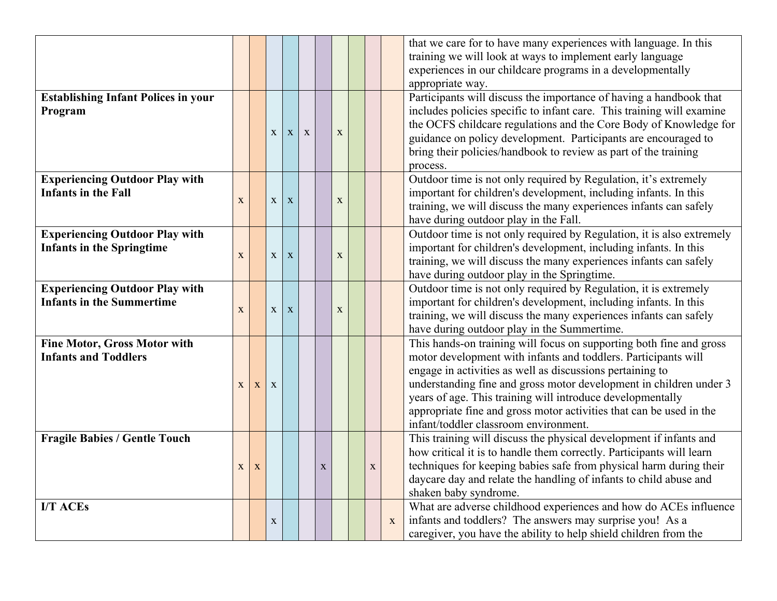|                                            |              |             |              |              |   |             |             |             |   | that we care for to have many experiences with language. In this      |
|--------------------------------------------|--------------|-------------|--------------|--------------|---|-------------|-------------|-------------|---|-----------------------------------------------------------------------|
|                                            |              |             |              |              |   |             |             |             |   | training we will look at ways to implement early language             |
|                                            |              |             |              |              |   |             |             |             |   | experiences in our childcare programs in a developmentally            |
|                                            |              |             |              |              |   |             |             |             |   | appropriate way.                                                      |
| <b>Establishing Infant Polices in your</b> |              |             |              |              |   |             |             |             |   | Participants will discuss the importance of having a handbook that    |
| Program                                    |              |             |              |              |   |             |             |             |   | includes policies specific to infant care. This training will examine |
|                                            |              |             |              |              |   |             |             |             |   | the OCFS childcare regulations and the Core Body of Knowledge for     |
|                                            |              |             | $\mathbf{X}$ | $\mathbf{X}$ | X |             | $\mathbf X$ |             |   | guidance on policy development. Participants are encouraged to        |
|                                            |              |             |              |              |   |             |             |             |   | bring their policies/handbook to review as part of the training       |
|                                            |              |             |              |              |   |             |             |             |   | process.                                                              |
| <b>Experiencing Outdoor Play with</b>      |              |             |              |              |   |             |             |             |   | Outdoor time is not only required by Regulation, it's extremely       |
| <b>Infants in the Fall</b>                 |              |             |              |              |   |             |             |             |   | important for children's development, including infants. In this      |
|                                            | $\mathbf X$  |             | $\mathbf X$  | $\mathbf X$  |   |             | $\mathbf X$ |             |   | training, we will discuss the many experiences infants can safely     |
|                                            |              |             |              |              |   |             |             |             |   | have during outdoor play in the Fall.                                 |
| <b>Experiencing Outdoor Play with</b>      |              |             |              |              |   |             |             |             |   | Outdoor time is not only required by Regulation, it is also extremely |
| <b>Infants in the Springtime</b>           |              |             |              |              |   |             |             |             |   | important for children's development, including infants. In this      |
|                                            | $\mathbf X$  |             | $\mathbf X$  | $\mathbf X$  |   |             | X           |             |   | training, we will discuss the many experiences infants can safely     |
|                                            |              |             |              |              |   |             |             |             |   | have during outdoor play in the Springtime.                           |
| <b>Experiencing Outdoor Play with</b>      |              |             |              |              |   |             |             |             |   | Outdoor time is not only required by Regulation, it is extremely      |
| <b>Infants in the Summertime</b>           |              |             |              |              |   |             |             |             |   | important for children's development, including infants. In this      |
|                                            | $\mathbf X$  |             | $\mathbf X$  | $\mathbf X$  |   |             | $\mathbf X$ |             |   | training, we will discuss the many experiences infants can safely     |
|                                            |              |             |              |              |   |             |             |             |   | have during outdoor play in the Summertime.                           |
| <b>Fine Motor, Gross Motor with</b>        |              |             |              |              |   |             |             |             |   | This hands-on training will focus on supporting both fine and gross   |
| <b>Infants and Toddlers</b>                |              |             |              |              |   |             |             |             |   | motor development with infants and toddlers. Participants will        |
|                                            |              |             |              |              |   |             |             |             |   | engage in activities as well as discussions pertaining to             |
|                                            | $\mathbf{X}$ | $\mathbf X$ | $\bf{X}$     |              |   |             |             |             |   | understanding fine and gross motor development in children under 3    |
|                                            |              |             |              |              |   |             |             |             |   | years of age. This training will introduce developmentally            |
|                                            |              |             |              |              |   |             |             |             |   | appropriate fine and gross motor activities that can be used in the   |
|                                            |              |             |              |              |   |             |             |             |   | infant/toddler classroom environment.                                 |
| <b>Fragile Babies / Gentle Touch</b>       |              |             |              |              |   |             |             |             |   | This training will discuss the physical development if infants and    |
|                                            |              |             |              |              |   |             |             |             |   | how critical it is to handle them correctly. Participants will learn  |
|                                            | $\mathbf X$  | $\mathbf X$ |              |              |   | $\mathbf X$ |             | $\mathbf X$ |   | techniques for keeping babies safe from physical harm during their    |
|                                            |              |             |              |              |   |             |             |             |   | daycare day and relate the handling of infants to child abuse and     |
|                                            |              |             |              |              |   |             |             |             |   | shaken baby syndrome.                                                 |
| <b>I/T ACEs</b>                            |              |             |              |              |   |             |             |             |   | What are adverse childhood experiences and how do ACEs influence      |
|                                            |              |             | $\mathbf X$  |              |   |             |             |             | X | infants and toddlers? The answers may surprise you! As a              |
|                                            |              |             |              |              |   |             |             |             |   | caregiver, you have the ability to help shield children from the      |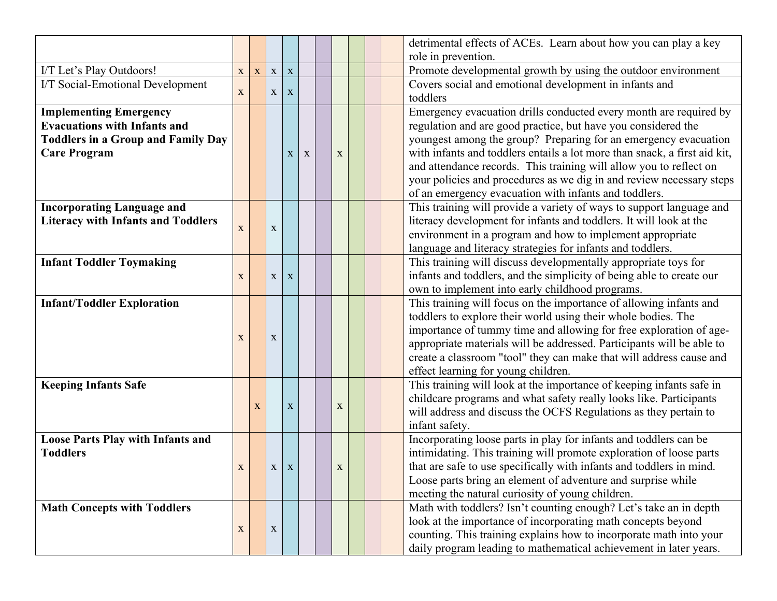|                                           |             |             |             |              |             |             |  | detrimental effects of ACEs. Learn about how you can play a key                                                               |
|-------------------------------------------|-------------|-------------|-------------|--------------|-------------|-------------|--|-------------------------------------------------------------------------------------------------------------------------------|
|                                           |             |             |             |              |             |             |  | role in prevention.                                                                                                           |
| I/T Let's Play Outdoors!                  | $\mathbf X$ | $\mathbf X$ | $\mathbf X$ | $\mathbf X$  |             |             |  | Promote developmental growth by using the outdoor environment                                                                 |
| I/T Social-Emotional Development          | X           |             | $\mathbf X$ | $\mathbf{X}$ |             |             |  | Covers social and emotional development in infants and<br>toddlers                                                            |
| <b>Implementing Emergency</b>             |             |             |             |              |             |             |  | Emergency evacuation drills conducted every month are required by                                                             |
| <b>Evacuations with Infants and</b>       |             |             |             |              |             |             |  | regulation and are good practice, but have you considered the                                                                 |
| <b>Toddlers in a Group and Family Day</b> |             |             |             |              |             |             |  | youngest among the group? Preparing for an emergency evacuation                                                               |
| <b>Care Program</b>                       |             |             |             | $\mathbf{X}$ | $\mathbf X$ | $\mathbf X$ |  | with infants and toddlers entails a lot more than snack, a first aid kit,                                                     |
|                                           |             |             |             |              |             |             |  | and attendance records. This training will allow you to reflect on                                                            |
|                                           |             |             |             |              |             |             |  | your policies and procedures as we dig in and review necessary steps                                                          |
|                                           |             |             |             |              |             |             |  | of an emergency evacuation with infants and toddlers.                                                                         |
| <b>Incorporating Language and</b>         |             |             |             |              |             |             |  | This training will provide a variety of ways to support language and                                                          |
| <b>Literacy with Infants and Toddlers</b> | $\mathbf X$ |             | $\mathbf X$ |              |             |             |  | literacy development for infants and toddlers. It will look at the                                                            |
|                                           |             |             |             |              |             |             |  | environment in a program and how to implement appropriate                                                                     |
|                                           |             |             |             |              |             |             |  | language and literacy strategies for infants and toddlers.<br>This training will discuss developmentally appropriate toys for |
| <b>Infant Toddler Toymaking</b>           |             |             |             |              |             |             |  | infants and toddlers, and the simplicity of being able to create our                                                          |
|                                           | X           |             | $\mathbf X$ | X            |             |             |  | own to implement into early childhood programs.                                                                               |
| <b>Infant/Toddler Exploration</b>         |             |             |             |              |             |             |  | This training will focus on the importance of allowing infants and                                                            |
|                                           |             |             |             |              |             |             |  | toddlers to explore their world using their whole bodies. The                                                                 |
|                                           |             |             |             |              |             |             |  | importance of tummy time and allowing for free exploration of age-                                                            |
|                                           | $\mathbf X$ |             | $\mathbf X$ |              |             |             |  | appropriate materials will be addressed. Participants will be able to                                                         |
|                                           |             |             |             |              |             |             |  | create a classroom "tool" they can make that will address cause and                                                           |
|                                           |             |             |             |              |             |             |  | effect learning for young children.                                                                                           |
| <b>Keeping Infants Safe</b>               |             |             |             |              |             |             |  | This training will look at the importance of keeping infants safe in                                                          |
|                                           |             |             |             |              |             |             |  | childcare programs and what safety really looks like. Participants                                                            |
|                                           |             | X           |             | $\mathbf X$  |             | $\mathbf X$ |  | will address and discuss the OCFS Regulations as they pertain to                                                              |
|                                           |             |             |             |              |             |             |  | infant safety.                                                                                                                |
| <b>Loose Parts Play with Infants and</b>  |             |             |             |              |             |             |  | Incorporating loose parts in play for infants and toddlers can be                                                             |
| <b>Toddlers</b>                           |             |             |             |              |             |             |  | intimidating. This training will promote exploration of loose parts                                                           |
|                                           | $\mathbf X$ |             | $\mathbf X$ | $\mathbf X$  |             | $\mathbf X$ |  | that are safe to use specifically with infants and toddlers in mind.                                                          |
|                                           |             |             |             |              |             |             |  | Loose parts bring an element of adventure and surprise while                                                                  |
|                                           |             |             |             |              |             |             |  | meeting the natural curiosity of young children.                                                                              |
| <b>Math Concepts with Toddlers</b>        |             |             |             |              |             |             |  | Math with toddlers? Isn't counting enough? Let's take an in depth                                                             |
|                                           | $\mathbf X$ |             | $\mathbf X$ |              |             |             |  | look at the importance of incorporating math concepts beyond                                                                  |
|                                           |             |             |             |              |             |             |  | counting. This training explains how to incorporate math into your                                                            |
|                                           |             |             |             |              |             |             |  | daily program leading to mathematical achievement in later years.                                                             |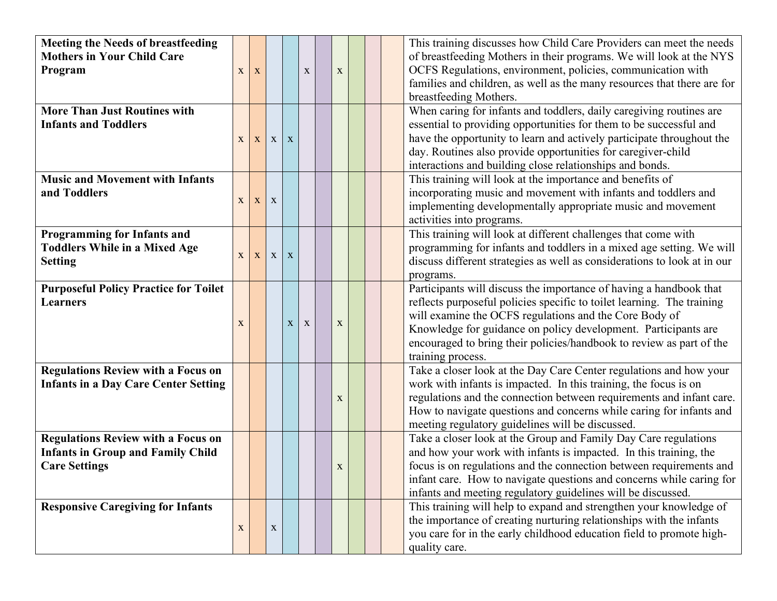| <b>Meeting the Needs of breastfeeding</b>    |              |              |             |   |              |             |  | This training discusses how Child Care Providers can meet the needs      |
|----------------------------------------------|--------------|--------------|-------------|---|--------------|-------------|--|--------------------------------------------------------------------------|
| <b>Mothers in Your Child Care</b>            |              |              |             |   |              |             |  | of breastfeeding Mothers in their programs. We will look at the NYS      |
| Program                                      | X            | $\mathbf{X}$ |             |   | X            | $\mathbf X$ |  | OCFS Regulations, environment, policies, communication with              |
|                                              |              |              |             |   |              |             |  | families and children, as well as the many resources that there are for  |
|                                              |              |              |             |   |              |             |  | breastfeeding Mothers.                                                   |
| <b>More Than Just Routines with</b>          |              |              |             |   |              |             |  | When caring for infants and toddlers, daily caregiving routines are      |
| <b>Infants and Toddlers</b>                  |              |              |             |   |              |             |  | essential to providing opportunities for them to be successful and       |
|                                              | $\mathbf{X}$ | $\mathbf{X}$ | X           | X |              |             |  | have the opportunity to learn and actively participate throughout the    |
|                                              |              |              |             |   |              |             |  | day. Routines also provide opportunities for caregiver-child             |
|                                              |              |              |             |   |              |             |  | interactions and building close relationships and bonds.                 |
| <b>Music and Movement with Infants</b>       |              |              |             |   |              |             |  | This training will look at the importance and benefits of                |
| and Toddlers                                 |              |              |             |   |              |             |  | incorporating music and movement with infants and toddlers and           |
|                                              | X            | $\mathbf{X}$ | $\mathbf X$ |   |              |             |  | implementing developmentally appropriate music and movement              |
|                                              |              |              |             |   |              |             |  | activities into programs.                                                |
| <b>Programming for Infants and</b>           |              |              |             |   |              |             |  | This training will look at different challenges that come with           |
| <b>Toddlers While in a Mixed Age</b>         |              |              | $\mathbf X$ |   |              |             |  | programming for infants and toddlers in a mixed age setting. We will     |
| <b>Setting</b>                               | X            | X            |             | X |              |             |  | discuss different strategies as well as considerations to look at in our |
|                                              |              |              |             |   |              |             |  | programs.                                                                |
| <b>Purposeful Policy Practice for Toilet</b> |              |              |             |   |              |             |  | Participants will discuss the importance of having a handbook that       |
| <b>Learners</b>                              |              |              |             |   |              |             |  | reflects purposeful policies specific to toilet learning. The training   |
|                                              |              |              |             |   |              |             |  | will examine the OCFS regulations and the Core Body of                   |
|                                              | $\mathbf X$  |              |             | X | $\mathbf{X}$ | $\mathbf X$ |  | Knowledge for guidance on policy development. Participants are           |
|                                              |              |              |             |   |              |             |  | encouraged to bring their policies/handbook to review as part of the     |
|                                              |              |              |             |   |              |             |  | training process.                                                        |
| <b>Regulations Review with a Focus on</b>    |              |              |             |   |              |             |  | Take a closer look at the Day Care Center regulations and how your       |
| <b>Infants in a Day Care Center Setting</b>  |              |              |             |   |              |             |  | work with infants is impacted. In this training, the focus is on         |
|                                              |              |              |             |   |              | $\mathbf X$ |  | regulations and the connection between requirements and infant care.     |
|                                              |              |              |             |   |              |             |  | How to navigate questions and concerns while caring for infants and      |
|                                              |              |              |             |   |              |             |  | meeting regulatory guidelines will be discussed.                         |
| <b>Regulations Review with a Focus on</b>    |              |              |             |   |              |             |  | Take a closer look at the Group and Family Day Care regulations          |
| <b>Infants in Group and Family Child</b>     |              |              |             |   |              |             |  | and how your work with infants is impacted. In this training, the        |
| <b>Care Settings</b>                         |              |              |             |   |              | $\mathbf X$ |  | focus is on regulations and the connection between requirements and      |
|                                              |              |              |             |   |              |             |  | infant care. How to navigate questions and concerns while caring for     |
|                                              |              |              |             |   |              |             |  | infants and meeting regulatory guidelines will be discussed.             |
| <b>Responsive Caregiving for Infants</b>     |              |              |             |   |              |             |  | This training will help to expand and strengthen your knowledge of       |
|                                              | $\mathbf X$  |              | $\mathbf X$ |   |              |             |  | the importance of creating nurturing relationships with the infants      |
|                                              |              |              |             |   |              |             |  | you care for in the early childhood education field to promote high-     |
|                                              |              |              |             |   |              |             |  | quality care.                                                            |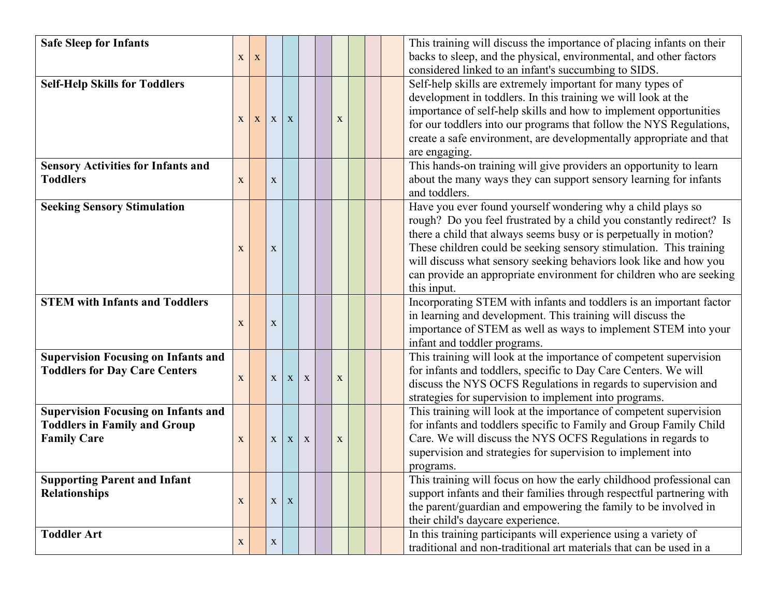| <b>Safe Sleep for Infants</b>                                                                           | X            | X            |              |              |              |             |  | This training will discuss the importance of placing infants on their<br>backs to sleep, and the physical, environmental, and other factors                                                                                                                                                                                                                                                                                               |
|---------------------------------------------------------------------------------------------------------|--------------|--------------|--------------|--------------|--------------|-------------|--|-------------------------------------------------------------------------------------------------------------------------------------------------------------------------------------------------------------------------------------------------------------------------------------------------------------------------------------------------------------------------------------------------------------------------------------------|
|                                                                                                         |              |              |              |              |              |             |  | considered linked to an infant's succumbing to SIDS.                                                                                                                                                                                                                                                                                                                                                                                      |
| <b>Self-Help Skills for Toddlers</b>                                                                    | $\mathbf{X}$ | $\mathbf{X}$ | $\mathbf{X}$ | $\mathbf X$  |              | $\mathbf X$ |  | Self-help skills are extremely important for many types of<br>development in toddlers. In this training we will look at the<br>importance of self-help skills and how to implement opportunities<br>for our toddlers into our programs that follow the NYS Regulations,<br>create a safe environment, are developmentally appropriate and that<br>are engaging.                                                                           |
| <b>Sensory Activities for Infants and</b><br><b>Toddlers</b>                                            | $\mathbf X$  |              | $\mathbf X$  |              |              |             |  | This hands-on training will give providers an opportunity to learn<br>about the many ways they can support sensory learning for infants<br>and toddlers.                                                                                                                                                                                                                                                                                  |
| <b>Seeking Sensory Stimulation</b>                                                                      | $\mathbf X$  |              | $\mathbf X$  |              |              |             |  | Have you ever found yourself wondering why a child plays so<br>rough? Do you feel frustrated by a child you constantly redirect? Is<br>there a child that always seems busy or is perpetually in motion?<br>These children could be seeking sensory stimulation. This training<br>will discuss what sensory seeking behaviors look like and how you<br>can provide an appropriate environment for children who are seeking<br>this input. |
| <b>STEM with Infants and Toddlers</b>                                                                   | $\mathbf X$  |              | $\mathbf X$  |              |              |             |  | Incorporating STEM with infants and toddlers is an important factor<br>in learning and development. This training will discuss the<br>importance of STEM as well as ways to implement STEM into your<br>infant and toddler programs.                                                                                                                                                                                                      |
| <b>Supervision Focusing on Infants and</b><br><b>Toddlers for Day Care Centers</b>                      | $\mathbf X$  |              | $\mathbf X$  | $\mathbf{X}$ | $\mathbf X$  | $\mathbf X$ |  | This training will look at the importance of competent supervision<br>for infants and toddlers, specific to Day Care Centers. We will<br>discuss the NYS OCFS Regulations in regards to supervision and<br>strategies for supervision to implement into programs.                                                                                                                                                                         |
| <b>Supervision Focusing on Infants and</b><br><b>Toddlers in Family and Group</b><br><b>Family Care</b> | X            |              | $\mathbf{X}$ | $\mathbf{X}$ | $\mathbf{X}$ | $\mathbf X$ |  | This training will look at the importance of competent supervision<br>for infants and toddlers specific to Family and Group Family Child<br>Care. We will discuss the NYS OCFS Regulations in regards to<br>supervision and strategies for supervision to implement into<br>programs.                                                                                                                                                     |
| <b>Supporting Parent and Infant</b><br><b>Relationships</b>                                             | $\mathbf X$  |              | $\mathbf X$  | X            |              |             |  | This training will focus on how the early childhood professional can<br>support infants and their families through respectful partnering with<br>the parent/guardian and empowering the family to be involved in<br>their child's daycare experience.                                                                                                                                                                                     |
| <b>Toddler Art</b>                                                                                      | X            |              | X            |              |              |             |  | In this training participants will experience using a variety of<br>traditional and non-traditional art materials that can be used in a                                                                                                                                                                                                                                                                                                   |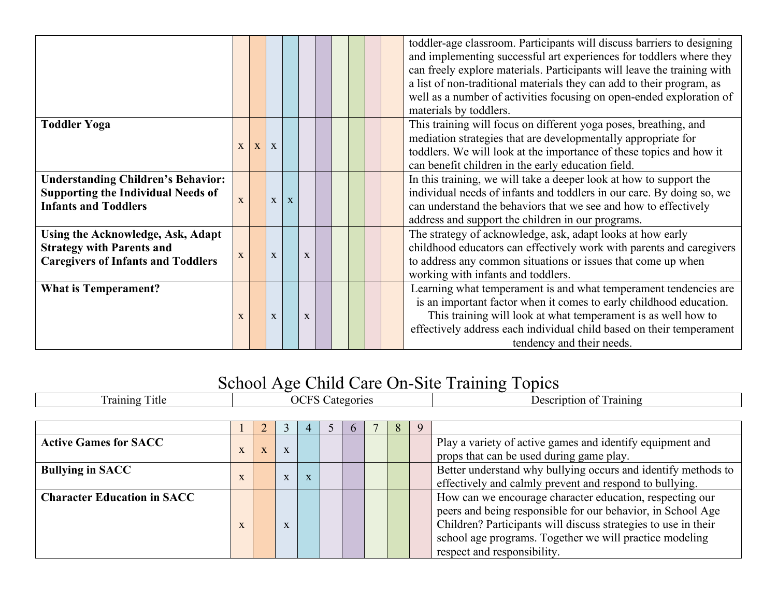|                                                                                                                           |              |              |              |   |             |  |  | toddler-age classroom. Participants will discuss barriers to designing<br>and implementing successful art experiences for toddlers where they<br>can freely explore materials. Participants will leave the training with<br>a list of non-traditional materials they can add to their program, as<br>well as a number of activities focusing on open-ended exploration of<br>materials by toddlers. |
|---------------------------------------------------------------------------------------------------------------------------|--------------|--------------|--------------|---|-------------|--|--|-----------------------------------------------------------------------------------------------------------------------------------------------------------------------------------------------------------------------------------------------------------------------------------------------------------------------------------------------------------------------------------------------------|
| <b>Toddler Yoga</b>                                                                                                       | X            | $\mathbf{X}$ | X            |   |             |  |  | This training will focus on different yoga poses, breathing, and<br>mediation strategies that are developmentally appropriate for<br>toddlers. We will look at the importance of these topics and how it<br>can benefit children in the early education field.                                                                                                                                      |
| <b>Understanding Children's Behavior:</b><br><b>Supporting the Individual Needs of</b><br><b>Infants and Toddlers</b>     | $\mathbf{X}$ |              | $\mathbf X$  | X |             |  |  | In this training, we will take a deeper look at how to support the<br>individual needs of infants and toddlers in our care. By doing so, we<br>can understand the behaviors that we see and how to effectively<br>address and support the children in our programs.                                                                                                                                 |
| <b>Using the Acknowledge, Ask, Adapt</b><br><b>Strategy with Parents and</b><br><b>Caregivers of Infants and Toddlers</b> | X            |              | $\mathbf{X}$ |   | $\mathbf X$ |  |  | The strategy of acknowledge, ask, adapt looks at how early<br>childhood educators can effectively work with parents and caregivers<br>to address any common situations or issues that come up when<br>working with infants and toddlers.                                                                                                                                                            |
| <b>What is Temperament?</b>                                                                                               | X            |              | X            |   | X           |  |  | Learning what temperament is and what temperament tendencies are<br>is an important factor when it comes to early childhood education.<br>This training will look at what temperament is as well how to<br>effectively address each individual child based on their temperament<br>tendency and their needs.                                                                                        |

## School Age Child Care On-Site Training Topics

| Training Title                     |              |   |             |   | <b>OCFS</b> Categories |  |   | Description of Training                                        |
|------------------------------------|--------------|---|-------------|---|------------------------|--|---|----------------------------------------------------------------|
|                                    |              |   |             |   |                        |  |   |                                                                |
|                                    |              |   |             |   |                        |  | 8 |                                                                |
| <b>Active Games for SACC</b>       |              |   |             |   |                        |  |   | Play a variety of active games and identify equipment and      |
|                                    |              | X | $\mathbf X$ |   |                        |  |   | props that can be used during game play.                       |
| <b>Bullying in SACC</b>            |              |   |             |   |                        |  |   | Better understand why bullying occurs and identify methods to  |
|                                    | $\mathbf{X}$ |   | X           | X |                        |  |   | effectively and calmly prevent and respond to bullying.        |
| <b>Character Education in SACC</b> |              |   |             |   |                        |  |   | How can we encourage character education, respecting our       |
|                                    |              |   |             |   |                        |  |   | peers and being responsible for our behavior, in School Age    |
|                                    | $\mathbf{X}$ |   | X           |   |                        |  |   | Children? Participants will discuss strategies to use in their |
|                                    |              |   |             |   |                        |  |   | school age programs. Together we will practice modeling        |
|                                    |              |   |             |   |                        |  |   | respect and responsibility.                                    |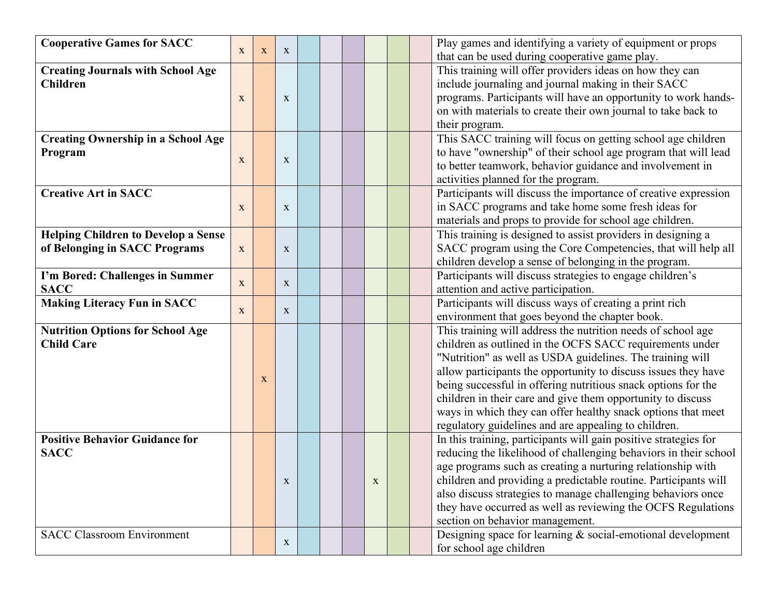| <b>Cooperative Games for SACC</b>          |              |   |              |  |             |  | Play games and identifying a variety of equipment or props       |
|--------------------------------------------|--------------|---|--------------|--|-------------|--|------------------------------------------------------------------|
|                                            | X            | X | $\mathbf{X}$ |  |             |  | that can be used during cooperative game play.                   |
| <b>Creating Journals with School Age</b>   |              |   |              |  |             |  | This training will offer providers ideas on how they can         |
| <b>Children</b>                            |              |   |              |  |             |  | include journaling and journal making in their SACC              |
|                                            | $\mathbf{X}$ |   | X            |  |             |  | programs. Participants will have an opportunity to work hands-   |
|                                            |              |   |              |  |             |  | on with materials to create their own journal to take back to    |
|                                            |              |   |              |  |             |  | their program.                                                   |
| <b>Creating Ownership in a School Age</b>  |              |   |              |  |             |  | This SACC training will focus on getting school age children     |
| Program                                    |              |   |              |  |             |  | to have "ownership" of their school age program that will lead   |
|                                            | $\mathbf{X}$ |   | X            |  |             |  | to better teamwork, behavior guidance and involvement in         |
|                                            |              |   |              |  |             |  | activities planned for the program.                              |
| <b>Creative Art in SACC</b>                |              |   |              |  |             |  | Participants will discuss the importance of creative expression  |
|                                            | X            |   | $\mathbf{X}$ |  |             |  | in SACC programs and take home some fresh ideas for              |
|                                            |              |   |              |  |             |  | materials and props to provide for school age children.          |
| <b>Helping Children to Develop a Sense</b> |              |   |              |  |             |  | This training is designed to assist providers in designing a     |
| of Belonging in SACC Programs              | $\mathbf{X}$ |   | X            |  |             |  | SACC program using the Core Competencies, that will help all     |
|                                            |              |   |              |  |             |  | children develop a sense of belonging in the program.            |
| I'm Bored: Challenges in Summer            |              |   |              |  |             |  | Participants will discuss strategies to engage children's        |
| <b>SACC</b>                                | X            |   | $\mathbf{X}$ |  |             |  | attention and active participation.                              |
| <b>Making Literacy Fun in SACC</b>         |              |   |              |  |             |  | Participants will discuss ways of creating a print rich          |
|                                            | X            |   | $\mathbf{X}$ |  |             |  | environment that goes beyond the chapter book.                   |
| <b>Nutrition Options for School Age</b>    |              |   |              |  |             |  | This training will address the nutrition needs of school age     |
| <b>Child Care</b>                          |              |   |              |  |             |  | children as outlined in the OCFS SACC requirements under         |
|                                            |              |   |              |  |             |  | "Nutrition" as well as USDA guidelines. The training will        |
|                                            |              |   |              |  |             |  | allow participants the opportunity to discuss issues they have   |
|                                            |              | X |              |  |             |  | being successful in offering nutritious snack options for the    |
|                                            |              |   |              |  |             |  |                                                                  |
|                                            |              |   |              |  |             |  | children in their care and give them opportunity to discuss      |
|                                            |              |   |              |  |             |  | ways in which they can offer healthy snack options that meet     |
|                                            |              |   |              |  |             |  | regulatory guidelines and are appealing to children.             |
| <b>Positive Behavior Guidance for</b>      |              |   |              |  |             |  | In this training, participants will gain positive strategies for |
| <b>SACC</b>                                |              |   |              |  |             |  | reducing the likelihood of challenging behaviors in their school |
|                                            |              |   |              |  |             |  | age programs such as creating a nurturing relationship with      |
|                                            |              |   | $\mathbf X$  |  | $\mathbf X$ |  | children and providing a predictable routine. Participants will  |
|                                            |              |   |              |  |             |  | also discuss strategies to manage challenging behaviors once     |
|                                            |              |   |              |  |             |  | they have occurred as well as reviewing the OCFS Regulations     |
|                                            |              |   |              |  |             |  | section on behavior management.                                  |
| <b>SACC Classroom Environment</b>          |              |   | $\mathbf{X}$ |  |             |  | Designing space for learning & social-emotional development      |
|                                            |              |   |              |  |             |  | for school age children                                          |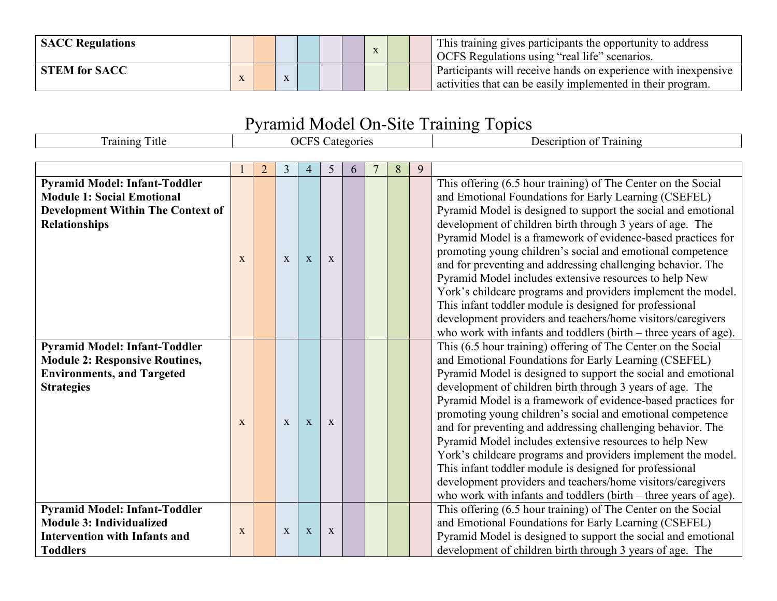| <b>SACC Regulations</b> |  |  |  | $\Lambda$ |  | This training gives participants the opportunity to address<br><sup>1</sup> OCFS Regulations using "real life" scenarios.     |
|-------------------------|--|--|--|-----------|--|-------------------------------------------------------------------------------------------------------------------------------|
| <b>STEM for SACC</b>    |  |  |  |           |  | Participants will receive hands on experience with inexpensive<br>activities that can be easily implemented in their program. |

## Pyramid Model On-Site Training Topics

| <b>Training Title</b>                                                                                                                         |   |                |   |              |              | <b>OCFS</b> Categories |   |   | Description of Training                                                                                                                                                                                                                                                                                                                                                                                                                                                                                                                                                                                                                                                                                                                                                     |
|-----------------------------------------------------------------------------------------------------------------------------------------------|---|----------------|---|--------------|--------------|------------------------|---|---|-----------------------------------------------------------------------------------------------------------------------------------------------------------------------------------------------------------------------------------------------------------------------------------------------------------------------------------------------------------------------------------------------------------------------------------------------------------------------------------------------------------------------------------------------------------------------------------------------------------------------------------------------------------------------------------------------------------------------------------------------------------------------------|
|                                                                                                                                               |   |                |   |              |              |                        |   |   |                                                                                                                                                                                                                                                                                                                                                                                                                                                                                                                                                                                                                                                                                                                                                                             |
|                                                                                                                                               |   | $\overline{2}$ | 3 | 4            | 5            | 6                      | 8 | 9 |                                                                                                                                                                                                                                                                                                                                                                                                                                                                                                                                                                                                                                                                                                                                                                             |
| <b>Pyramid Model: Infant-Toddler</b><br><b>Module 1: Social Emotional</b><br><b>Development Within The Context of</b><br><b>Relationships</b> | X |                | X | X            | X            |                        |   |   | This offering (6.5 hour training) of The Center on the Social<br>and Emotional Foundations for Early Learning (CSEFEL)<br>Pyramid Model is designed to support the social and emotional<br>development of children birth through 3 years of age. The<br>Pyramid Model is a framework of evidence-based practices for<br>promoting young children's social and emotional competence<br>and for preventing and addressing challenging behavior. The<br>Pyramid Model includes extensive resources to help New<br>York's childcare programs and providers implement the model.<br>This infant toddler module is designed for professional<br>development providers and teachers/home visitors/caregivers<br>who work with infants and toddlers (birth $-$ three years of age). |
| <b>Pyramid Model: Infant-Toddler</b><br><b>Module 2: Responsive Routines,</b><br><b>Environments, and Targeted</b><br><b>Strategies</b>       | X |                | X | X            | X            |                        |   |   | This (6.5 hour training) offering of The Center on the Social<br>and Emotional Foundations for Early Learning (CSEFEL)<br>Pyramid Model is designed to support the social and emotional<br>development of children birth through 3 years of age. The<br>Pyramid Model is a framework of evidence-based practices for<br>promoting young children's social and emotional competence<br>and for preventing and addressing challenging behavior. The<br>Pyramid Model includes extensive resources to help New<br>York's childcare programs and providers implement the model.<br>This infant toddler module is designed for professional<br>development providers and teachers/home visitors/caregivers<br>who work with infants and toddlers (birth $-$ three years of age). |
| <b>Pyramid Model: Infant-Toddler</b><br><b>Module 3: Individualized</b><br><b>Intervention with Infants and</b><br><b>Toddlers</b>            | X |                | X | $\mathbf{X}$ | $\mathbf{x}$ |                        |   |   | This offering (6.5 hour training) of The Center on the Social<br>and Emotional Foundations for Early Learning (CSEFEL)<br>Pyramid Model is designed to support the social and emotional<br>development of children birth through 3 years of age. The                                                                                                                                                                                                                                                                                                                                                                                                                                                                                                                        |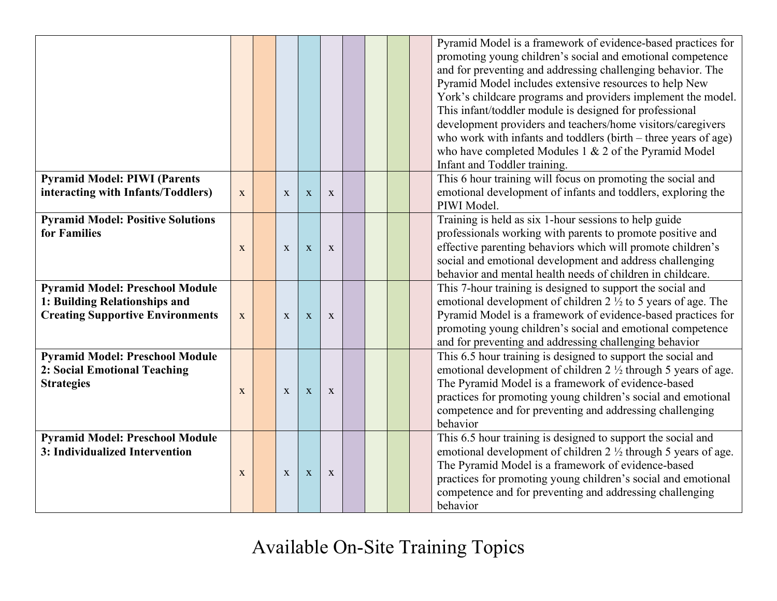|                                                                                                                    |              |              |              |              |  |  | Pyramid Model is a framework of evidence-based practices for<br>promoting young children's social and emotional competence<br>and for preventing and addressing challenging behavior. The<br>Pyramid Model includes extensive resources to help New<br>York's childcare programs and providers implement the model.<br>This infant/toddler module is designed for professional |
|--------------------------------------------------------------------------------------------------------------------|--------------|--------------|--------------|--------------|--|--|--------------------------------------------------------------------------------------------------------------------------------------------------------------------------------------------------------------------------------------------------------------------------------------------------------------------------------------------------------------------------------|
|                                                                                                                    |              |              |              |              |  |  | development providers and teachers/home visitors/caregivers<br>who work with infants and toddlers (birth – three years of age)<br>who have completed Modules $1 & 2$ of the Pyramid Model<br>Infant and Toddler training.                                                                                                                                                      |
| <b>Pyramid Model: PIWI (Parents</b><br>interacting with Infants/Toddlers)                                          | X            | $\mathbf{x}$ | X            | $\mathbf{x}$ |  |  | This 6 hour training will focus on promoting the social and<br>emotional development of infants and toddlers, exploring the<br>PIWI Model.                                                                                                                                                                                                                                     |
| <b>Pyramid Model: Positive Solutions</b><br>for Families                                                           | $\mathbf{X}$ | X            | $\mathbf X$  | $\mathbf X$  |  |  | Training is held as six 1-hour sessions to help guide<br>professionals working with parents to promote positive and<br>effective parenting behaviors which will promote children's<br>social and emotional development and address challenging<br>behavior and mental health needs of children in childcare.                                                                   |
| <b>Pyramid Model: Preschool Module</b><br>1: Building Relationships and<br><b>Creating Supportive Environments</b> | X            | $\mathbf{x}$ | X            | X            |  |  | This 7-hour training is designed to support the social and<br>emotional development of children $2\frac{1}{2}$ to 5 years of age. The<br>Pyramid Model is a framework of evidence-based practices for<br>promoting young children's social and emotional competence<br>and for preventing and addressing challenging behavior                                                  |
| <b>Pyramid Model: Preschool Module</b><br>2: Social Emotional Teaching<br><b>Strategies</b>                        | X            | X            | $\mathbf{X}$ | X            |  |  | This 6.5 hour training is designed to support the social and<br>emotional development of children $2 \frac{1}{2}$ through 5 years of age.<br>The Pyramid Model is a framework of evidence-based<br>practices for promoting young children's social and emotional<br>competence and for preventing and addressing challenging<br>behavior                                       |
| <b>Pyramid Model: Preschool Module</b><br>3: Individualized Intervention                                           | $\mathbf{X}$ | X            | $\mathbf X$  | $\mathbf{X}$ |  |  | This 6.5 hour training is designed to support the social and<br>emotional development of children 2 1/2 through 5 years of age.<br>The Pyramid Model is a framework of evidence-based<br>practices for promoting young children's social and emotional<br>competence and for preventing and addressing challenging<br>behavior                                                 |

Available On-Site Training Topics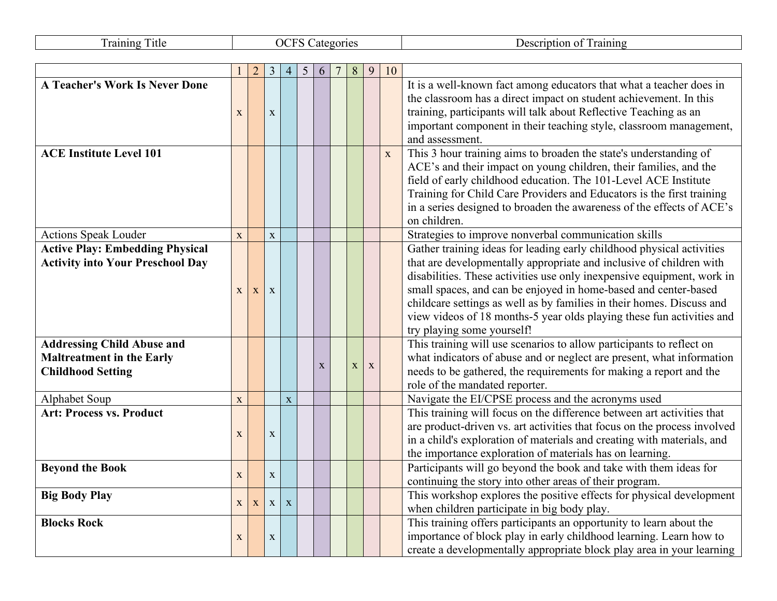| <b>Training Title</b>                   |             |                |                | <b>OCFS</b> Categories |   |             |             |              |    | Description of Training                                                  |
|-----------------------------------------|-------------|----------------|----------------|------------------------|---|-------------|-------------|--------------|----|--------------------------------------------------------------------------|
|                                         |             |                |                |                        |   |             |             |              |    |                                                                          |
|                                         |             | $\overline{2}$ | $\mathfrak{Z}$ | $\overline{4}$         | 5 | 6           | 8           | 9            | 10 |                                                                          |
| <b>A Teacher's Work Is Never Done</b>   |             |                |                |                        |   |             |             |              |    | It is a well-known fact among educators that what a teacher does in      |
|                                         |             |                |                |                        |   |             |             |              |    | the classroom has a direct impact on student achievement. In this        |
|                                         | $\mathbf X$ |                | $\mathbf X$    |                        |   |             |             |              |    | training, participants will talk about Reflective Teaching as an         |
|                                         |             |                |                |                        |   |             |             |              |    | important component in their teaching style, classroom management,       |
|                                         |             |                |                |                        |   |             |             |              |    | and assessment.                                                          |
| <b>ACE Institute Level 101</b>          |             |                |                |                        |   |             |             |              | X  | This 3 hour training aims to broaden the state's understanding of        |
|                                         |             |                |                |                        |   |             |             |              |    | ACE's and their impact on young children, their families, and the        |
|                                         |             |                |                |                        |   |             |             |              |    | field of early childhood education. The 101-Level ACE Institute          |
|                                         |             |                |                |                        |   |             |             |              |    | Training for Child Care Providers and Educators is the first training    |
|                                         |             |                |                |                        |   |             |             |              |    | in a series designed to broaden the awareness of the effects of ACE's    |
|                                         |             |                |                |                        |   |             |             |              |    | on children.                                                             |
| <b>Actions Speak Louder</b>             | $\mathbf X$ |                | $\mathbf X$    |                        |   |             |             |              |    | Strategies to improve nonverbal communication skills                     |
| <b>Active Play: Embedding Physical</b>  |             |                |                |                        |   |             |             |              |    | Gather training ideas for leading early childhood physical activities    |
| <b>Activity into Your Preschool Day</b> |             |                |                |                        |   |             |             |              |    | that are developmentally appropriate and inclusive of children with      |
|                                         |             |                |                |                        |   |             |             |              |    | disabilities. These activities use only inexpensive equipment, work in   |
|                                         | X           | X              | X              |                        |   |             |             |              |    | small spaces, and can be enjoyed in home-based and center-based          |
|                                         |             |                |                |                        |   |             |             |              |    | childcare settings as well as by families in their homes. Discuss and    |
|                                         |             |                |                |                        |   |             |             |              |    | view videos of 18 months-5 year olds playing these fun activities and    |
|                                         |             |                |                |                        |   |             |             |              |    | try playing some yourself!                                               |
| <b>Addressing Child Abuse and</b>       |             |                |                |                        |   |             |             |              |    | This training will use scenarios to allow participants to reflect on     |
| <b>Maltreatment in the Early</b>        |             |                |                |                        |   | $\mathbf X$ | $\mathbf X$ | $\mathbf{X}$ |    | what indicators of abuse and or neglect are present, what information    |
| <b>Childhood Setting</b>                |             |                |                |                        |   |             |             |              |    | needs to be gathered, the requirements for making a report and the       |
|                                         |             |                |                |                        |   |             |             |              |    | role of the mandated reporter.                                           |
| Alphabet Soup                           | X           |                |                | $\mathbf X$            |   |             |             |              |    | Navigate the EI/CPSE process and the acronyms used                       |
| <b>Art: Process vs. Product</b>         |             |                |                |                        |   |             |             |              |    | This training will focus on the difference between art activities that   |
|                                         | $\mathbf X$ |                | $\mathbf X$    |                        |   |             |             |              |    | are product-driven vs. art activities that focus on the process involved |
|                                         |             |                |                |                        |   |             |             |              |    | in a child's exploration of materials and creating with materials, and   |
|                                         |             |                |                |                        |   |             |             |              |    | the importance exploration of materials has on learning.                 |
| <b>Bevond the Book</b>                  | X           |                | X              |                        |   |             |             |              |    | Participants will go beyond the book and take with them ideas for        |
|                                         |             |                |                |                        |   |             |             |              |    | continuing the story into other areas of their program.                  |
| <b>Big Body Play</b>                    | X           | X              | $\mathbf{X}$   | $\mathbf{X}$           |   |             |             |              |    | This workshop explores the positive effects for physical development     |
|                                         |             |                |                |                        |   |             |             |              |    | when children participate in big body play.                              |
| <b>Blocks Rock</b>                      |             |                |                |                        |   |             |             |              |    | This training offers participants an opportunity to learn about the      |
|                                         | X           |                | X              |                        |   |             |             |              |    | importance of block play in early childhood learning. Learn how to       |
|                                         |             |                |                |                        |   |             |             |              |    | create a developmentally appropriate block play area in your learning    |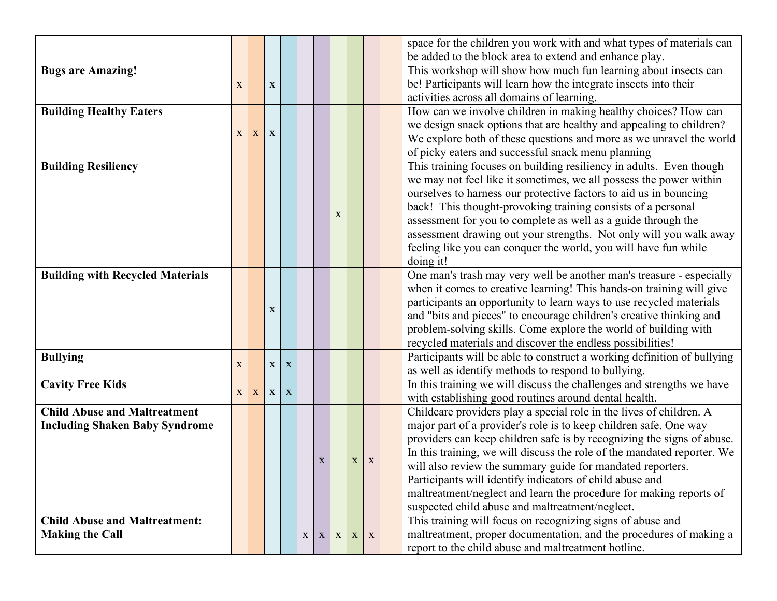|                                         |             |   |                |   |   |              |   |             |   | space for the children you work with and what types of materials can    |
|-----------------------------------------|-------------|---|----------------|---|---|--------------|---|-------------|---|-------------------------------------------------------------------------|
|                                         |             |   |                |   |   |              |   |             |   | be added to the block area to extend and enhance play.                  |
| <b>Bugs are Amazing!</b>                |             |   |                |   |   |              |   |             |   | This workshop will show how much fun learning about insects can         |
|                                         | X           |   | X              |   |   |              |   |             |   | be! Participants will learn how the integrate insects into their        |
|                                         |             |   |                |   |   |              |   |             |   | activities across all domains of learning.                              |
| <b>Building Healthy Eaters</b>          |             |   |                |   |   |              |   |             |   | How can we involve children in making healthy choices? How can          |
|                                         |             |   |                |   |   |              |   |             |   | we design snack options that are healthy and appealing to children?     |
|                                         | X           | X | X              |   |   |              |   |             |   | We explore both of these questions and more as we unravel the world     |
|                                         |             |   |                |   |   |              |   |             |   | of picky eaters and successful snack menu planning                      |
| <b>Building Resiliency</b>              |             |   |                |   |   |              |   |             |   | This training focuses on building resiliency in adults. Even though     |
|                                         |             |   |                |   |   |              |   |             |   | we may not feel like it sometimes, we all possess the power within      |
|                                         |             |   |                |   |   |              |   |             |   | ourselves to harness our protective factors to aid us in bouncing       |
|                                         |             |   |                |   |   |              |   |             |   | back! This thought-provoking training consists of a personal            |
|                                         |             |   |                |   |   |              | X |             |   | assessment for you to complete as well as a guide through the           |
|                                         |             |   |                |   |   |              |   |             |   | assessment drawing out your strengths. Not only will you walk away      |
|                                         |             |   |                |   |   |              |   |             |   | feeling like you can conquer the world, you will have fun while         |
|                                         |             |   |                |   |   |              |   |             |   | doing it!                                                               |
| <b>Building with Recycled Materials</b> |             |   |                |   |   |              |   |             |   | One man's trash may very well be another man's treasure - especially    |
|                                         |             |   |                |   |   |              |   |             |   | when it comes to creative learning! This hands-on training will give    |
|                                         |             |   |                |   |   |              |   |             |   | participants an opportunity to learn ways to use recycled materials     |
|                                         |             |   | X              |   |   |              |   |             |   | and "bits and pieces" to encourage children's creative thinking and     |
|                                         |             |   |                |   |   |              |   |             |   | problem-solving skills. Come explore the world of building with         |
|                                         |             |   |                |   |   |              |   |             |   | recycled materials and discover the endless possibilities!              |
| <b>Bullying</b>                         |             |   |                |   |   |              |   |             |   | Participants will be able to construct a working definition of bullying |
|                                         | $\mathbf X$ |   | $\mathbf{X}$   | X |   |              |   |             |   | as well as identify methods to respond to bullying.                     |
| <b>Cavity Free Kids</b>                 |             |   |                |   |   |              |   |             |   | In this training we will discuss the challenges and strengths we have   |
|                                         | X           | X | X <sub>1</sub> | X |   |              |   |             |   | with establishing good routines around dental health.                   |
| <b>Child Abuse and Maltreatment</b>     |             |   |                |   |   |              |   |             |   | Childcare providers play a special role in the lives of children. A     |
| <b>Including Shaken Baby Syndrome</b>   |             |   |                |   |   |              |   |             |   | major part of a provider's role is to keep children safe. One way       |
|                                         |             |   |                |   |   |              |   |             |   | providers can keep children safe is by recognizing the signs of abuse.  |
|                                         |             |   |                |   |   |              |   |             |   | In this training, we will discuss the role of the mandated reporter. We |
|                                         |             |   |                |   |   | $\mathbf X$  |   | $\mathbf X$ | X | will also review the summary guide for mandated reporters.              |
|                                         |             |   |                |   |   |              |   |             |   | Participants will identify indicators of child abuse and                |
|                                         |             |   |                |   |   |              |   |             |   | maltreatment/neglect and learn the procedure for making reports of      |
|                                         |             |   |                |   |   |              |   |             |   | suspected child abuse and maltreatment/neglect.                         |
| <b>Child Abuse and Maltreatment:</b>    |             |   |                |   |   |              |   |             |   | This training will focus on recognizing signs of abuse and              |
| <b>Making the Call</b>                  |             |   |                |   | X | $\mathbf{X}$ | X | X           | X | maltreatment, proper documentation, and the procedures of making a      |
|                                         |             |   |                |   |   |              |   |             |   | report to the child abuse and maltreatment hotline.                     |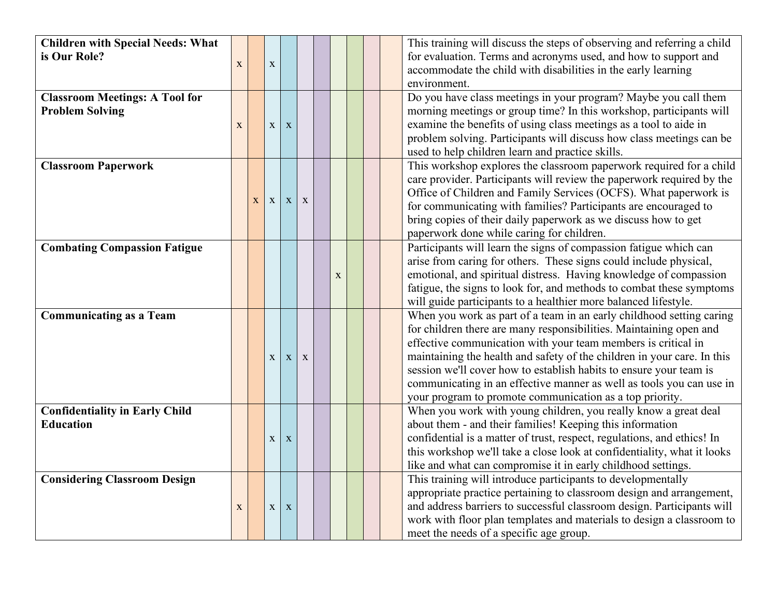| <b>Children with Special Needs: What</b><br>is Our Role?        | $\mathbf X$ |   | $\mathbf X$  |             |   |             |  | This training will discuss the steps of observing and referring a child<br>for evaluation. Terms and acronyms used, and how to support and<br>accommodate the child with disabilities in the early learning<br>environment.                                                                                                                                                                                                                                                                      |
|-----------------------------------------------------------------|-------------|---|--------------|-------------|---|-------------|--|--------------------------------------------------------------------------------------------------------------------------------------------------------------------------------------------------------------------------------------------------------------------------------------------------------------------------------------------------------------------------------------------------------------------------------------------------------------------------------------------------|
| <b>Classroom Meetings: A Tool for</b><br><b>Problem Solving</b> | $\mathbf X$ |   | $\mathbf X$  | $\mathbf X$ |   |             |  | Do you have class meetings in your program? Maybe you call them<br>morning meetings or group time? In this workshop, participants will<br>examine the benefits of using class meetings as a tool to aide in<br>problem solving. Participants will discuss how class meetings can be<br>used to help children learn and practice skills.                                                                                                                                                          |
| <b>Classroom Paperwork</b>                                      |             | X | $\mathbf X$  | $\mathbf X$ | X |             |  | This workshop explores the classroom paperwork required for a child<br>care provider. Participants will review the paperwork required by the<br>Office of Children and Family Services (OCFS). What paperwork is<br>for communicating with families? Participants are encouraged to<br>bring copies of their daily paperwork as we discuss how to get<br>paperwork done while caring for children.                                                                                               |
| <b>Combating Compassion Fatigue</b>                             |             |   |              |             |   | $\mathbf X$ |  | Participants will learn the signs of compassion fatigue which can<br>arise from caring for others. These signs could include physical,<br>emotional, and spiritual distress. Having knowledge of compassion<br>fatigue, the signs to look for, and methods to combat these symptoms<br>will guide participants to a healthier more balanced lifestyle.                                                                                                                                           |
| <b>Communicating as a Team</b>                                  |             |   | $\mathbf{X}$ | X           | X |             |  | When you work as part of a team in an early childhood setting caring<br>for children there are many responsibilities. Maintaining open and<br>effective communication with your team members is critical in<br>maintaining the health and safety of the children in your care. In this<br>session we'll cover how to establish habits to ensure your team is<br>communicating in an effective manner as well as tools you can use in<br>your program to promote communication as a top priority. |
| <b>Confidentiality in Early Child</b><br><b>Education</b>       |             |   | $\mathbf X$  | X           |   |             |  | When you work with young children, you really know a great deal<br>about them - and their families! Keeping this information<br>confidential is a matter of trust, respect, regulations, and ethics! In<br>this workshop we'll take a close look at confidentiality, what it looks<br>like and what can compromise it in early childhood settings.                                                                                                                                               |
| <b>Considering Classroom Design</b>                             | $\mathbf X$ |   | $\mathbf X$  | $\mathbf X$ |   |             |  | This training will introduce participants to developmentally<br>appropriate practice pertaining to classroom design and arrangement,<br>and address barriers to successful classroom design. Participants will<br>work with floor plan templates and materials to design a classroom to<br>meet the needs of a specific age group.                                                                                                                                                               |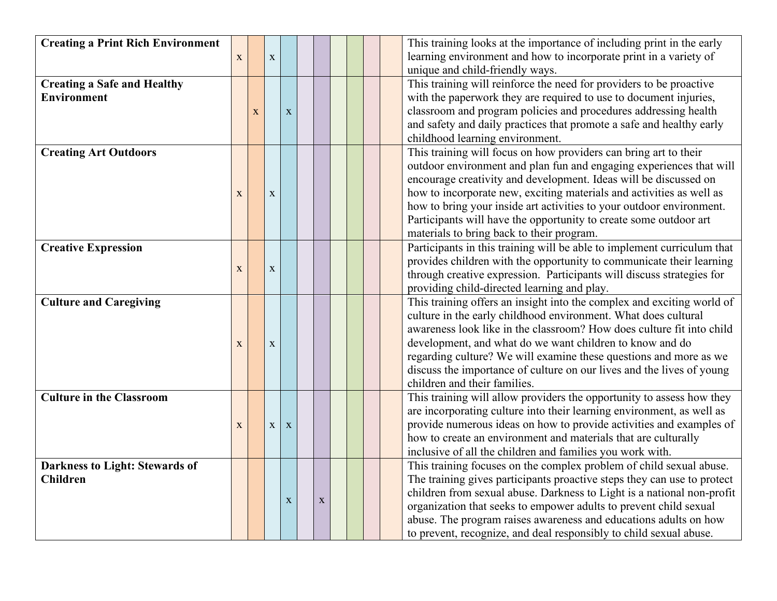| <b>Creating a Print Rich Environment</b> |             |              |             |             |             |  | This training looks at the importance of including print in the early                                                                        |
|------------------------------------------|-------------|--------------|-------------|-------------|-------------|--|----------------------------------------------------------------------------------------------------------------------------------------------|
|                                          | X           |              | $\mathbf X$ |             |             |  | learning environment and how to incorporate print in a variety of                                                                            |
|                                          |             |              |             |             |             |  | unique and child-friendly ways.                                                                                                              |
| <b>Creating a Safe and Healthy</b>       |             |              |             |             |             |  | This training will reinforce the need for providers to be proactive                                                                          |
| <b>Environment</b>                       |             |              |             |             |             |  | with the paperwork they are required to use to document injuries,                                                                            |
|                                          |             | $\mathbf{X}$ |             | $\mathbf X$ |             |  | classroom and program policies and procedures addressing health                                                                              |
|                                          |             |              |             |             |             |  | and safety and daily practices that promote a safe and healthy early                                                                         |
|                                          |             |              |             |             |             |  | childhood learning environment.                                                                                                              |
| <b>Creating Art Outdoors</b>             |             |              |             |             |             |  | This training will focus on how providers can bring art to their                                                                             |
|                                          |             |              |             |             |             |  | outdoor environment and plan fun and engaging experiences that will                                                                          |
|                                          |             |              |             |             |             |  | encourage creativity and development. Ideas will be discussed on                                                                             |
|                                          | $\mathbf X$ |              | $\mathbf X$ |             |             |  | how to incorporate new, exciting materials and activities as well as<br>how to bring your inside art activities to your outdoor environment. |
|                                          |             |              |             |             |             |  | Participants will have the opportunity to create some outdoor art                                                                            |
|                                          |             |              |             |             |             |  | materials to bring back to their program.                                                                                                    |
| <b>Creative Expression</b>               |             |              |             |             |             |  | Participants in this training will be able to implement curriculum that                                                                      |
|                                          |             |              |             |             |             |  | provides children with the opportunity to communicate their learning                                                                         |
|                                          | X           |              | $\mathbf X$ |             |             |  | through creative expression. Participants will discuss strategies for                                                                        |
|                                          |             |              |             |             |             |  | providing child-directed learning and play.                                                                                                  |
| <b>Culture and Caregiving</b>            |             |              |             |             |             |  | This training offers an insight into the complex and exciting world of                                                                       |
|                                          |             |              |             |             |             |  | culture in the early childhood environment. What does cultural                                                                               |
|                                          |             |              |             |             |             |  | awareness look like in the classroom? How does culture fit into child                                                                        |
|                                          | X           |              | $\mathbf X$ |             |             |  | development, and what do we want children to know and do                                                                                     |
|                                          |             |              |             |             |             |  | regarding culture? We will examine these questions and more as we                                                                            |
|                                          |             |              |             |             |             |  | discuss the importance of culture on our lives and the lives of young                                                                        |
|                                          |             |              |             |             |             |  | children and their families.                                                                                                                 |
| <b>Culture in the Classroom</b>          |             |              |             |             |             |  | This training will allow providers the opportunity to assess how they                                                                        |
|                                          |             |              |             |             |             |  | are incorporating culture into their learning environment, as well as                                                                        |
|                                          | $\mathbf X$ |              | $\mathbf X$ | X           |             |  | provide numerous ideas on how to provide activities and examples of                                                                          |
|                                          |             |              |             |             |             |  | how to create an environment and materials that are culturally                                                                               |
| <b>Darkness to Light: Stewards of</b>    |             |              |             |             |             |  | inclusive of all the children and families you work with.<br>This training focuses on the complex problem of child sexual abuse.             |
| <b>Children</b>                          |             |              |             |             |             |  | The training gives participants proactive steps they can use to protect                                                                      |
|                                          |             |              |             |             |             |  | children from sexual abuse. Darkness to Light is a national non-profit                                                                       |
|                                          |             |              |             | $\mathbf X$ | $\mathbf X$ |  | organization that seeks to empower adults to prevent child sexual                                                                            |
|                                          |             |              |             |             |             |  | abuse. The program raises awareness and educations adults on how                                                                             |
|                                          |             |              |             |             |             |  | to prevent, recognize, and deal responsibly to child sexual abuse.                                                                           |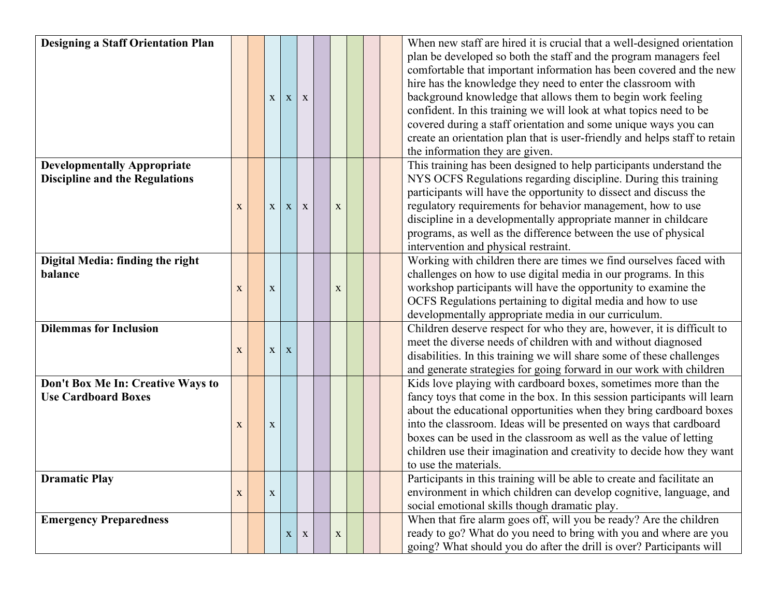| <b>Designing a Staff Orientation Plan</b> |             |              |              |              |             |  | When new staff are hired it is crucial that a well-designed orientation    |
|-------------------------------------------|-------------|--------------|--------------|--------------|-------------|--|----------------------------------------------------------------------------|
|                                           |             |              |              |              |             |  | plan be developed so both the staff and the program managers feel          |
|                                           |             |              |              |              |             |  | comfortable that important information has been covered and the new        |
|                                           |             |              |              |              |             |  | hire has the knowledge they need to enter the classroom with               |
|                                           |             | X            | $\mathbf{X}$ | X            |             |  | background knowledge that allows them to begin work feeling                |
|                                           |             |              |              |              |             |  | confident. In this training we will look at what topics need to be         |
|                                           |             |              |              |              |             |  | covered during a staff orientation and some unique ways you can            |
|                                           |             |              |              |              |             |  | create an orientation plan that is user-friendly and helps staff to retain |
|                                           |             |              |              |              |             |  | the information they are given.                                            |
| <b>Developmentally Appropriate</b>        |             |              |              |              |             |  | This training has been designed to help participants understand the        |
| <b>Discipline and the Regulations</b>     |             |              |              |              |             |  | NYS OCFS Regulations regarding discipline. During this training            |
|                                           |             |              |              |              |             |  | participants will have the opportunity to dissect and discuss the          |
|                                           | X           | $\mathbf{X}$ | $\mathbf{X}$ | $\mathbf{X}$ | X           |  | regulatory requirements for behavior management, how to use                |
|                                           |             |              |              |              |             |  | discipline in a developmentally appropriate manner in childcare            |
|                                           |             |              |              |              |             |  | programs, as well as the difference between the use of physical            |
|                                           |             |              |              |              |             |  | intervention and physical restraint.                                       |
| Digital Media: finding the right          |             |              |              |              |             |  | Working with children there are times we find ourselves faced with         |
| balance                                   |             |              |              |              |             |  | challenges on how to use digital media in our programs. In this            |
|                                           | $\mathbf X$ | $\mathbf X$  |              |              | $\mathbf X$ |  | workshop participants will have the opportunity to examine the             |
|                                           |             |              |              |              |             |  | OCFS Regulations pertaining to digital media and how to use                |
|                                           |             |              |              |              |             |  | developmentally appropriate media in our curriculum.                       |
| <b>Dilemmas for Inclusion</b>             |             |              |              |              |             |  | Children deserve respect for who they are, however, it is difficult to     |
|                                           | $\mathbf X$ | $\mathbf{X}$ | $\mathbf{X}$ |              |             |  | meet the diverse needs of children with and without diagnosed              |
|                                           |             |              |              |              |             |  | disabilities. In this training we will share some of these challenges      |
|                                           |             |              |              |              |             |  | and generate strategies for going forward in our work with children        |
| Don't Box Me In: Creative Ways to         |             |              |              |              |             |  | Kids love playing with cardboard boxes, sometimes more than the            |
| <b>Use Cardboard Boxes</b>                |             |              |              |              |             |  | fancy toys that come in the box. In this session participants will learn   |
|                                           |             |              |              |              |             |  | about the educational opportunities when they bring cardboard boxes        |
|                                           | X           | $\mathbf X$  |              |              |             |  | into the classroom. Ideas will be presented on ways that cardboard         |
|                                           |             |              |              |              |             |  | boxes can be used in the classroom as well as the value of letting         |
|                                           |             |              |              |              |             |  | children use their imagination and creativity to decide how they want      |
|                                           |             |              |              |              |             |  | to use the materials.                                                      |
| <b>Dramatic Play</b>                      |             |              |              |              |             |  | Participants in this training will be able to create and facilitate an     |
|                                           | X           | $\mathbf{X}$ |              |              |             |  | environment in which children can develop cognitive, language, and         |
|                                           |             |              |              |              |             |  | social emotional skills though dramatic play.                              |
| <b>Emergency Preparedness</b>             |             |              |              |              |             |  | When that fire alarm goes off, will you be ready? Are the children         |
|                                           |             |              | $\mathbf{X}$ | $\mathbf{X}$ | $\mathbf X$ |  | ready to go? What do you need to bring with you and where are you          |
|                                           |             |              |              |              |             |  | going? What should you do after the drill is over? Participants will       |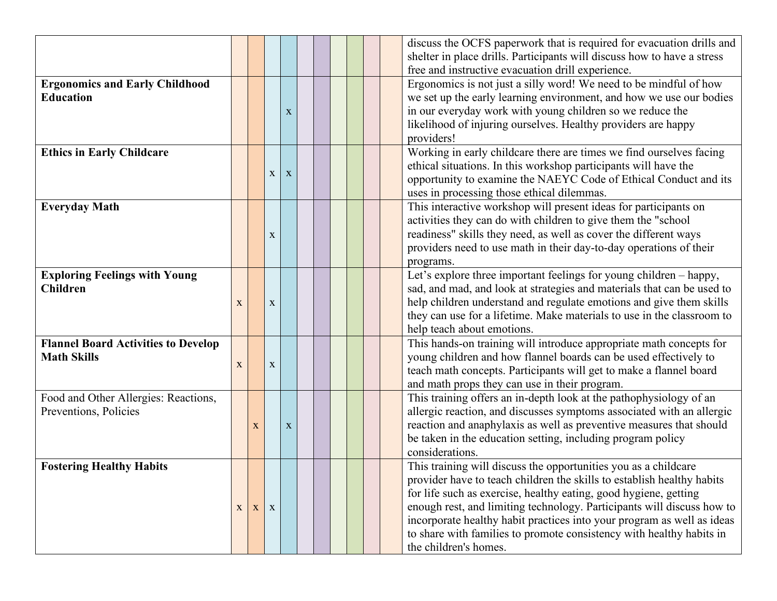|                                            |              |             |              |             |  |  |  | discuss the OCFS paperwork that is required for evacuation drills and<br>shelter in place drills. Participants will discuss how to have a stress |
|--------------------------------------------|--------------|-------------|--------------|-------------|--|--|--|--------------------------------------------------------------------------------------------------------------------------------------------------|
|                                            |              |             |              |             |  |  |  | free and instructive evacuation drill experience.                                                                                                |
| <b>Ergonomics and Early Childhood</b>      |              |             |              |             |  |  |  | Ergonomics is not just a silly word! We need to be mindful of how                                                                                |
| <b>Education</b>                           |              |             |              |             |  |  |  | we set up the early learning environment, and how we use our bodies                                                                              |
|                                            |              |             |              | $\mathbf X$ |  |  |  | in our everyday work with young children so we reduce the                                                                                        |
|                                            |              |             |              |             |  |  |  | likelihood of injuring ourselves. Healthy providers are happy                                                                                    |
|                                            |              |             |              |             |  |  |  | providers!                                                                                                                                       |
| <b>Ethics in Early Childcare</b>           |              |             |              |             |  |  |  | Working in early childcare there are times we find ourselves facing                                                                              |
|                                            |              |             |              |             |  |  |  | ethical situations. In this workshop participants will have the                                                                                  |
|                                            |              |             | $\mathbf X$  | $\mathbf X$ |  |  |  | opportunity to examine the NAEYC Code of Ethical Conduct and its                                                                                 |
|                                            |              |             |              |             |  |  |  | uses in processing those ethical dilemmas.                                                                                                       |
| <b>Everyday Math</b>                       |              |             |              |             |  |  |  | This interactive workshop will present ideas for participants on                                                                                 |
|                                            |              |             |              |             |  |  |  | activities they can do with children to give them the "school                                                                                    |
|                                            |              |             | $\mathbf X$  |             |  |  |  | readiness" skills they need, as well as cover the different ways                                                                                 |
|                                            |              |             |              |             |  |  |  | providers need to use math in their day-to-day operations of their                                                                               |
|                                            |              |             |              |             |  |  |  | programs.                                                                                                                                        |
| <b>Exploring Feelings with Young</b>       |              |             |              |             |  |  |  | Let's explore three important feelings for young children - happy,                                                                               |
| <b>Children</b>                            |              |             |              |             |  |  |  | sad, and mad, and look at strategies and materials that can be used to                                                                           |
|                                            | $\mathbf{X}$ |             | $\mathbf X$  |             |  |  |  | help children understand and regulate emotions and give them skills                                                                              |
|                                            |              |             |              |             |  |  |  | they can use for a lifetime. Make materials to use in the classroom to                                                                           |
|                                            |              |             |              |             |  |  |  | help teach about emotions.                                                                                                                       |
| <b>Flannel Board Activities to Develop</b> |              |             |              |             |  |  |  | This hands-on training will introduce appropriate math concepts for                                                                              |
| <b>Math Skills</b>                         |              |             |              |             |  |  |  | young children and how flannel boards can be used effectively to                                                                                 |
|                                            | $\mathbf X$  |             | $\mathbf X$  |             |  |  |  | teach math concepts. Participants will get to make a flannel board                                                                               |
|                                            |              |             |              |             |  |  |  | and math props they can use in their program.                                                                                                    |
| Food and Other Allergies: Reactions,       |              |             |              |             |  |  |  | This training offers an in-depth look at the pathophysiology of an                                                                               |
| Preventions, Policies                      |              |             |              |             |  |  |  | allergic reaction, and discusses symptoms associated with an allergic                                                                            |
|                                            |              | $\mathbf X$ |              | X           |  |  |  | reaction and anaphylaxis as well as preventive measures that should                                                                              |
|                                            |              |             |              |             |  |  |  | be taken in the education setting, including program policy                                                                                      |
|                                            |              |             |              |             |  |  |  | considerations.                                                                                                                                  |
| <b>Fostering Healthy Habits</b>            |              |             |              |             |  |  |  | This training will discuss the opportunities you as a childcare                                                                                  |
|                                            |              |             |              |             |  |  |  | provider have to teach children the skills to establish healthy habits                                                                           |
|                                            |              |             |              |             |  |  |  | for life such as exercise, healthy eating, good hygiene, getting                                                                                 |
|                                            |              | $X \mid X$  | $\mathbf{X}$ |             |  |  |  | enough rest, and limiting technology. Participants will discuss how to                                                                           |
|                                            |              |             |              |             |  |  |  | incorporate healthy habit practices into your program as well as ideas                                                                           |
|                                            |              |             |              |             |  |  |  | to share with families to promote consistency with healthy habits in                                                                             |
|                                            |              |             |              |             |  |  |  |                                                                                                                                                  |
|                                            |              |             |              |             |  |  |  | the children's homes.                                                                                                                            |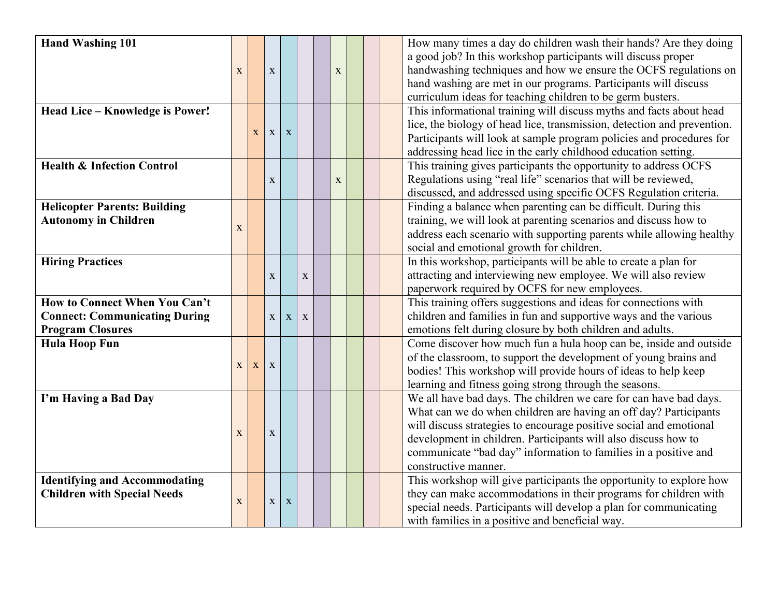| <b>Hand Washing 101</b>               |             |              |              |             |   |   |  | How many times a day do children wash their hands? Are they doing       |
|---------------------------------------|-------------|--------------|--------------|-------------|---|---|--|-------------------------------------------------------------------------|
|                                       |             |              |              |             |   |   |  | a good job? In this workshop participants will discuss proper           |
|                                       | X           |              | $\mathbf X$  |             |   | X |  | handwashing techniques and how we ensure the OCFS regulations on        |
|                                       |             |              |              |             |   |   |  | hand washing are met in our programs. Participants will discuss         |
|                                       |             |              |              |             |   |   |  | curriculum ideas for teaching children to be germ busters.              |
| Head Lice - Knowledge is Power!       |             |              |              |             |   |   |  | This informational training will discuss myths and facts about head     |
|                                       |             |              |              |             |   |   |  | lice, the biology of head lice, transmission, detection and prevention. |
|                                       |             | $\mathbf{X}$ | $\mathbf{X}$ | $\mathbf X$ |   |   |  | Participants will look at sample program policies and procedures for    |
|                                       |             |              |              |             |   |   |  | addressing head lice in the early childhood education setting.          |
| <b>Health &amp; Infection Control</b> |             |              |              |             |   |   |  | This training gives participants the opportunity to address OCFS        |
|                                       |             |              | X            |             |   | X |  | Regulations using "real life" scenarios that will be reviewed,          |
|                                       |             |              |              |             |   |   |  | discussed, and addressed using specific OCFS Regulation criteria.       |
| <b>Helicopter Parents: Building</b>   |             |              |              |             |   |   |  | Finding a balance when parenting can be difficult. During this          |
| <b>Autonomy in Children</b>           |             |              |              |             |   |   |  | training, we will look at parenting scenarios and discuss how to        |
|                                       | X           |              |              |             |   |   |  | address each scenario with supporting parents while allowing healthy    |
|                                       |             |              |              |             |   |   |  | social and emotional growth for children.                               |
| <b>Hiring Practices</b>               |             |              |              |             |   |   |  | In this workshop, participants will be able to create a plan for        |
|                                       |             |              | X            |             | X |   |  | attracting and interviewing new employee. We will also review           |
|                                       |             |              |              |             |   |   |  | paperwork required by OCFS for new employees.                           |
| <b>How to Connect When You Can't</b>  |             |              |              |             |   |   |  | This training offers suggestions and ideas for connections with         |
| <b>Connect: Communicating During</b>  |             |              | $\mathbf X$  | X           | X |   |  | children and families in fun and supportive ways and the various        |
| <b>Program Closures</b>               |             |              |              |             |   |   |  | emotions felt during closure by both children and adults.               |
| <b>Hula Hoop Fun</b>                  |             |              |              |             |   |   |  | Come discover how much fun a hula hoop can be, inside and outside       |
|                                       |             |              |              |             |   |   |  | of the classroom, to support the development of young brains and        |
|                                       | X           | X            | X            |             |   |   |  | bodies! This workshop will provide hours of ideas to help keep          |
|                                       |             |              |              |             |   |   |  | learning and fitness going strong through the seasons.                  |
| I'm Having a Bad Day                  |             |              |              |             |   |   |  | We all have bad days. The children we care for can have bad days.       |
|                                       |             |              |              |             |   |   |  | What can we do when children are having an off day? Participants        |
|                                       |             |              |              |             |   |   |  | will discuss strategies to encourage positive social and emotional      |
|                                       | X           |              | $\mathbf X$  |             |   |   |  | development in children. Participants will also discuss how to          |
|                                       |             |              |              |             |   |   |  | communicate "bad day" information to families in a positive and         |
|                                       |             |              |              |             |   |   |  | constructive manner.                                                    |
| <b>Identifying and Accommodating</b>  |             |              |              |             |   |   |  | This workshop will give participants the opportunity to explore how     |
| <b>Children with Special Needs</b>    |             |              |              |             |   |   |  | they can make accommodations in their programs for children with        |
|                                       | $\mathbf X$ |              | $\mathbf{X}$ | X           |   |   |  | special needs. Participants will develop a plan for communicating       |
|                                       |             |              |              |             |   |   |  | with families in a positive and beneficial way.                         |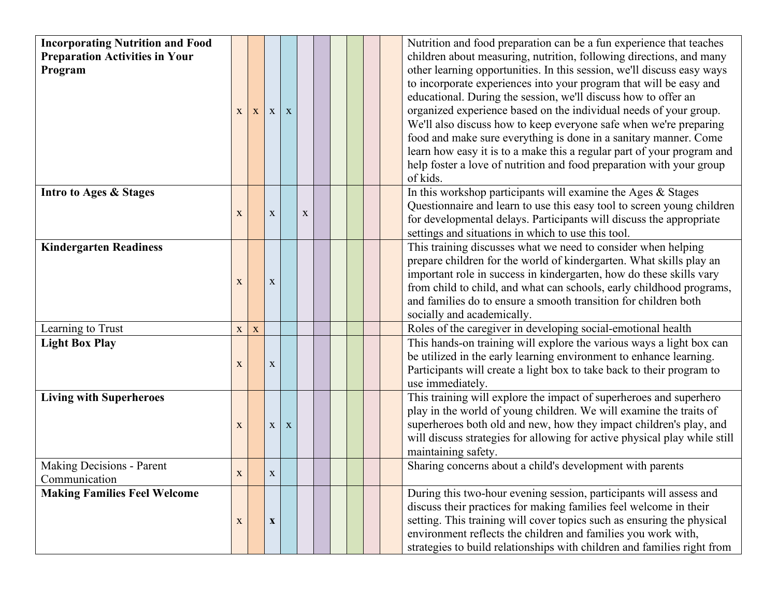| <b>Incorporating Nutrition and Food</b><br><b>Preparation Activities in Your</b><br>Program | X            | X           | $\mathbf{X}$ | X |             |  |  | Nutrition and food preparation can be a fun experience that teaches<br>children about measuring, nutrition, following directions, and many<br>other learning opportunities. In this session, we'll discuss easy ways<br>to incorporate experiences into your program that will be easy and<br>educational. During the session, we'll discuss how to offer an<br>organized experience based on the individual needs of your group.<br>We'll also discuss how to keep everyone safe when we're preparing<br>food and make sure everything is done in a sanitary manner. Come<br>learn how easy it is to a make this a regular part of your program and<br>help foster a love of nutrition and food preparation with your group<br>of kids. |
|---------------------------------------------------------------------------------------------|--------------|-------------|--------------|---|-------------|--|--|------------------------------------------------------------------------------------------------------------------------------------------------------------------------------------------------------------------------------------------------------------------------------------------------------------------------------------------------------------------------------------------------------------------------------------------------------------------------------------------------------------------------------------------------------------------------------------------------------------------------------------------------------------------------------------------------------------------------------------------|
| Intro to Ages & Stages                                                                      | $\mathbf X$  |             | $\mathbf X$  |   | $\mathbf X$ |  |  | In this workshop participants will examine the Ages & Stages<br>Questionnaire and learn to use this easy tool to screen young children<br>for developmental delays. Participants will discuss the appropriate<br>settings and situations in which to use this tool.                                                                                                                                                                                                                                                                                                                                                                                                                                                                      |
| <b>Kindergarten Readiness</b>                                                               | X            |             | $\mathbf X$  |   |             |  |  | This training discusses what we need to consider when helping<br>prepare children for the world of kindergarten. What skills play an<br>important role in success in kindergarten, how do these skills vary<br>from child to child, and what can schools, early childhood programs,<br>and families do to ensure a smooth transition for children both<br>socially and academically.                                                                                                                                                                                                                                                                                                                                                     |
| Learning to Trust                                                                           | $\mathbf X$  | $\mathbf X$ |              |   |             |  |  | Roles of the caregiver in developing social-emotional health                                                                                                                                                                                                                                                                                                                                                                                                                                                                                                                                                                                                                                                                             |
| <b>Light Box Play</b>                                                                       | $\mathbf X$  |             | $\mathbf X$  |   |             |  |  | This hands-on training will explore the various ways a light box can<br>be utilized in the early learning environment to enhance learning.<br>Participants will create a light box to take back to their program to<br>use immediately.                                                                                                                                                                                                                                                                                                                                                                                                                                                                                                  |
| <b>Living with Superheroes</b>                                                              | X            |             | $\mathbf X$  | X |             |  |  | This training will explore the impact of superheroes and superhero<br>play in the world of young children. We will examine the traits of<br>superheroes both old and new, how they impact children's play, and<br>will discuss strategies for allowing for active physical play while still<br>maintaining safety.                                                                                                                                                                                                                                                                                                                                                                                                                       |
| <b>Making Decisions - Parent</b><br>Communication                                           | $\mathbf{X}$ |             | $\mathbf{X}$ |   |             |  |  | Sharing concerns about a child's development with parents                                                                                                                                                                                                                                                                                                                                                                                                                                                                                                                                                                                                                                                                                |
| <b>Making Families Feel Welcome</b>                                                         | $\mathbf X$  |             | $\mathbf X$  |   |             |  |  | During this two-hour evening session, participants will assess and<br>discuss their practices for making families feel welcome in their<br>setting. This training will cover topics such as ensuring the physical<br>environment reflects the children and families you work with,<br>strategies to build relationships with children and families right from                                                                                                                                                                                                                                                                                                                                                                            |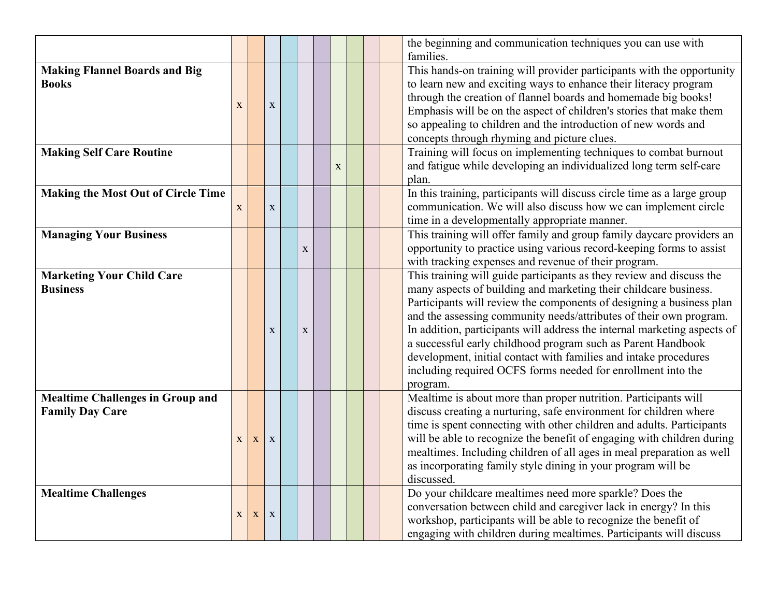|                                                                   |              |             |             |              |             |  | the beginning and communication techniques you can use with<br>families.                                                                                                                                                                                                                                                                                                                                                                                                                                                                                                           |
|-------------------------------------------------------------------|--------------|-------------|-------------|--------------|-------------|--|------------------------------------------------------------------------------------------------------------------------------------------------------------------------------------------------------------------------------------------------------------------------------------------------------------------------------------------------------------------------------------------------------------------------------------------------------------------------------------------------------------------------------------------------------------------------------------|
| <b>Making Flannel Boards and Big</b><br><b>Books</b>              | X            |             | $\mathbf X$ |              |             |  | This hands-on training will provider participants with the opportunity<br>to learn new and exciting ways to enhance their literacy program<br>through the creation of flannel boards and homemade big books!<br>Emphasis will be on the aspect of children's stories that make them<br>so appealing to children and the introduction of new words and<br>concepts through rhyming and picture clues.                                                                                                                                                                               |
| <b>Making Self Care Routine</b>                                   |              |             |             |              | $\mathbf X$ |  | Training will focus on implementing techniques to combat burnout<br>and fatigue while developing an individualized long term self-care<br>plan.                                                                                                                                                                                                                                                                                                                                                                                                                                    |
| <b>Making the Most Out of Circle Time</b>                         | $\mathbf X$  |             | $\mathbf X$ |              |             |  | In this training, participants will discuss circle time as a large group<br>communication. We will also discuss how we can implement circle<br>time in a developmentally appropriate manner.                                                                                                                                                                                                                                                                                                                                                                                       |
| <b>Managing Your Business</b>                                     |              |             |             | $\mathbf{X}$ |             |  | This training will offer family and group family daycare providers an<br>opportunity to practice using various record-keeping forms to assist<br>with tracking expenses and revenue of their program.                                                                                                                                                                                                                                                                                                                                                                              |
| <b>Marketing Your Child Care</b><br><b>Business</b>               |              |             | X           | $\mathbf{x}$ |             |  | This training will guide participants as they review and discuss the<br>many aspects of building and marketing their childcare business.<br>Participants will review the components of designing a business plan<br>and the assessing community needs/attributes of their own program.<br>In addition, participants will address the internal marketing aspects of<br>a successful early childhood program such as Parent Handbook<br>development, initial contact with families and intake procedures<br>including required OCFS forms needed for enrollment into the<br>program. |
| <b>Mealtime Challenges in Group and</b><br><b>Family Day Care</b> | $\mathbf{X}$ | $\mathbf X$ | X           |              |             |  | Mealtime is about more than proper nutrition. Participants will<br>discuss creating a nurturing, safe environment for children where<br>time is spent connecting with other children and adults. Participants<br>will be able to recognize the benefit of engaging with children during<br>mealtimes. Including children of all ages in meal preparation as well<br>as incorporating family style dining in your program will be<br>discussed.                                                                                                                                     |
| <b>Mealtime Challenges</b>                                        | $\mathbf X$  | $\mathbf X$ | X           |              |             |  | Do your childcare mealtimes need more sparkle? Does the<br>conversation between child and caregiver lack in energy? In this<br>workshop, participants will be able to recognize the benefit of<br>engaging with children during mealtimes. Participants will discuss                                                                                                                                                                                                                                                                                                               |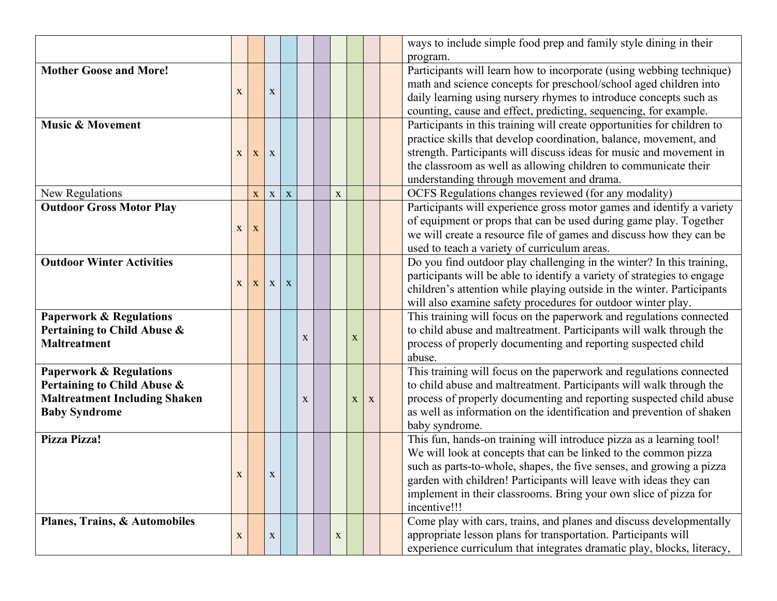|                                      |              |              |              |              |             |   |             |              | ways to include simple food prep and family style dining in their       |
|--------------------------------------|--------------|--------------|--------------|--------------|-------------|---|-------------|--------------|-------------------------------------------------------------------------|
|                                      |              |              |              |              |             |   |             |              | program.                                                                |
| <b>Mother Goose and More!</b>        |              |              |              |              |             |   |             |              | Participants will learn how to incorporate (using webbing technique)    |
|                                      | X            |              | $\mathbf X$  |              |             |   |             |              | math and science concepts for preschool/school aged children into       |
|                                      |              |              |              |              |             |   |             |              | daily learning using nursery rhymes to introduce concepts such as       |
|                                      |              |              |              |              |             |   |             |              | counting, cause and effect, predicting, sequencing, for example.        |
| <b>Music &amp; Movement</b>          |              |              |              |              |             |   |             |              | Participants in this training will create opportunities for children to |
|                                      |              |              |              |              |             |   |             |              | practice skills that develop coordination, balance, movement, and       |
|                                      | X            | $\mathbf{X}$ | X            |              |             |   |             |              | strength. Participants will discuss ideas for music and movement in     |
|                                      |              |              |              |              |             |   |             |              | the classroom as well as allowing children to communicate their         |
|                                      |              |              |              |              |             |   |             |              | understanding through movement and drama.                               |
| New Regulations                      |              | $\mathbf X$  | $\mathbf X$  | $\mathbf X$  |             | X |             |              | OCFS Regulations changes reviewed (for any modality)                    |
| <b>Outdoor Gross Motor Play</b>      |              |              |              |              |             |   |             |              | Participants will experience gross motor games and identify a variety   |
|                                      |              |              |              |              |             |   |             |              | of equipment or props that can be used during game play. Together       |
|                                      | $\mathbf{X}$ | $\mathbf X$  |              |              |             |   |             |              | we will create a resource file of games and discuss how they can be     |
|                                      |              |              |              |              |             |   |             |              | used to teach a variety of curriculum areas.                            |
| <b>Outdoor Winter Activities</b>     |              |              |              |              |             |   |             |              | Do you find outdoor play challenging in the winter? In this training,   |
|                                      |              |              |              |              |             |   |             |              | participants will be able to identify a variety of strategies to engage |
|                                      | $\mathbf{X}$ | $\mathbf{X}$ | $\mathbf{X}$ | $\mathbf{X}$ |             |   |             |              | children's attention while playing outside in the winter. Participants  |
|                                      |              |              |              |              |             |   |             |              | will also examine safety procedures for outdoor winter play.            |
| <b>Paperwork &amp; Regulations</b>   |              |              |              |              |             |   |             |              | This training will focus on the paperwork and regulations connected     |
| Pertaining to Child Abuse &          |              |              |              |              |             |   |             |              | to child abuse and maltreatment. Participants will walk through the     |
| <b>Maltreatment</b>                  |              |              |              |              | $\mathbf X$ |   | $\mathbf X$ |              | process of properly documenting and reporting suspected child           |
|                                      |              |              |              |              |             |   |             |              | abuse.                                                                  |
| <b>Paperwork &amp; Regulations</b>   |              |              |              |              |             |   |             |              | This training will focus on the paperwork and regulations connected     |
| Pertaining to Child Abuse &          |              |              |              |              |             |   |             |              | to child abuse and maltreatment. Participants will walk through the     |
| <b>Maltreatment Including Shaken</b> |              |              |              |              | $\mathbf X$ |   | $\mathbf X$ | $\mathbf{X}$ | process of properly documenting and reporting suspected child abuse     |
| <b>Baby Syndrome</b>                 |              |              |              |              |             |   |             |              | as well as information on the identification and prevention of shaken   |
|                                      |              |              |              |              |             |   |             |              | baby syndrome.                                                          |
| Pizza Pizza!                         |              |              |              |              |             |   |             |              | This fun, hands-on training will introduce pizza as a learning tool!    |
|                                      |              |              |              |              |             |   |             |              | We will look at concepts that can be linked to the common pizza         |
|                                      |              |              |              |              |             |   |             |              | such as parts-to-whole, shapes, the five senses, and growing a pizza    |
|                                      | $\mathbf X$  |              | $\mathbf X$  |              |             |   |             |              | garden with children! Participants will leave with ideas they can       |
|                                      |              |              |              |              |             |   |             |              | implement in their classrooms. Bring your own slice of pizza for        |
|                                      |              |              |              |              |             |   |             |              | incentive!!!                                                            |
| Planes, Trains, & Automobiles        |              |              |              |              |             |   |             |              | Come play with cars, trains, and planes and discuss developmentally     |
|                                      | X            |              | X            |              |             | X |             |              | appropriate lesson plans for transportation. Participants will          |
|                                      |              |              |              |              |             |   |             |              | experience curriculum that integrates dramatic play, blocks, literacy,  |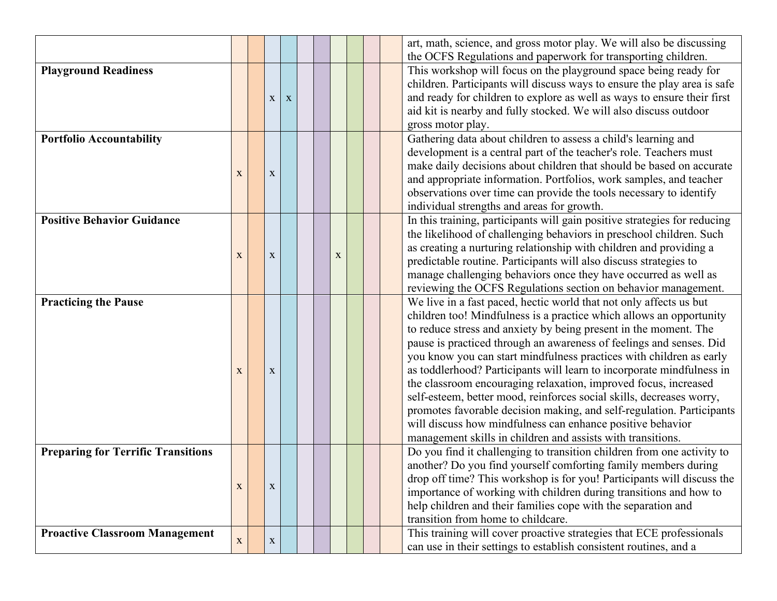|                                           |              |              |              |  |             |  | art, math, science, and gross motor play. We will also be discussing      |
|-------------------------------------------|--------------|--------------|--------------|--|-------------|--|---------------------------------------------------------------------------|
|                                           |              |              |              |  |             |  | the OCFS Regulations and paperwork for transporting children.             |
| <b>Playground Readiness</b>               |              |              |              |  |             |  | This workshop will focus on the playground space being ready for          |
|                                           |              |              |              |  |             |  | children. Participants will discuss ways to ensure the play area is safe  |
|                                           |              | $\mathbf{X}$ | $\mathbf{X}$ |  |             |  | and ready for children to explore as well as ways to ensure their first   |
|                                           |              |              |              |  |             |  | aid kit is nearby and fully stocked. We will also discuss outdoor         |
|                                           |              |              |              |  |             |  | gross motor play.                                                         |
| <b>Portfolio Accountability</b>           |              |              |              |  |             |  | Gathering data about children to assess a child's learning and            |
|                                           |              |              |              |  |             |  | development is a central part of the teacher's role. Teachers must        |
|                                           |              |              |              |  |             |  | make daily decisions about children that should be based on accurate      |
|                                           | X            | $\mathbf X$  |              |  |             |  | and appropriate information. Portfolios, work samples, and teacher        |
|                                           |              |              |              |  |             |  | observations over time can provide the tools necessary to identify        |
|                                           |              |              |              |  |             |  | individual strengths and areas for growth.                                |
| <b>Positive Behavior Guidance</b>         |              |              |              |  |             |  | In this training, participants will gain positive strategies for reducing |
|                                           |              |              |              |  |             |  |                                                                           |
|                                           |              |              |              |  |             |  | the likelihood of challenging behaviors in preschool children. Such       |
|                                           | X            | $\mathbf X$  |              |  | $\mathbf X$ |  | as creating a nurturing relationship with children and providing a        |
|                                           |              |              |              |  |             |  | predictable routine. Participants will also discuss strategies to         |
|                                           |              |              |              |  |             |  | manage challenging behaviors once they have occurred as well as           |
|                                           |              |              |              |  |             |  | reviewing the OCFS Regulations section on behavior management.            |
| <b>Practicing the Pause</b>               |              |              |              |  |             |  | We live in a fast paced, hectic world that not only affects us but        |
|                                           |              |              |              |  |             |  | children too! Mindfulness is a practice which allows an opportunity       |
|                                           |              |              |              |  |             |  | to reduce stress and anxiety by being present in the moment. The          |
|                                           |              |              |              |  |             |  | pause is practiced through an awareness of feelings and senses. Did       |
|                                           |              |              |              |  |             |  | you know you can start mindfulness practices with children as early       |
|                                           | X            | $\mathbf X$  |              |  |             |  | as toddlerhood? Participants will learn to incorporate mindfulness in     |
|                                           |              |              |              |  |             |  | the classroom encouraging relaxation, improved focus, increased           |
|                                           |              |              |              |  |             |  | self-esteem, better mood, reinforces social skills, decreases worry,      |
|                                           |              |              |              |  |             |  | promotes favorable decision making, and self-regulation. Participants     |
|                                           |              |              |              |  |             |  | will discuss how mindfulness can enhance positive behavior                |
|                                           |              |              |              |  |             |  | management skills in children and assists with transitions.               |
| <b>Preparing for Terrific Transitions</b> |              |              |              |  |             |  | Do you find it challenging to transition children from one activity to    |
|                                           |              |              |              |  |             |  | another? Do you find yourself comforting family members during            |
|                                           |              |              |              |  |             |  | drop off time? This workshop is for you! Participants will discuss the    |
|                                           | X            | X            |              |  |             |  | importance of working with children during transitions and how to         |
|                                           |              |              |              |  |             |  | help children and their families cope with the separation and             |
|                                           |              |              |              |  |             |  | transition from home to childcare.                                        |
| <b>Proactive Classroom Management</b>     |              |              |              |  |             |  | This training will cover proactive strategies that ECE professionals      |
|                                           | $\mathbf{X}$ | $\mathbf{X}$ |              |  |             |  |                                                                           |
|                                           |              |              |              |  |             |  | can use in their settings to establish consistent routines, and a         |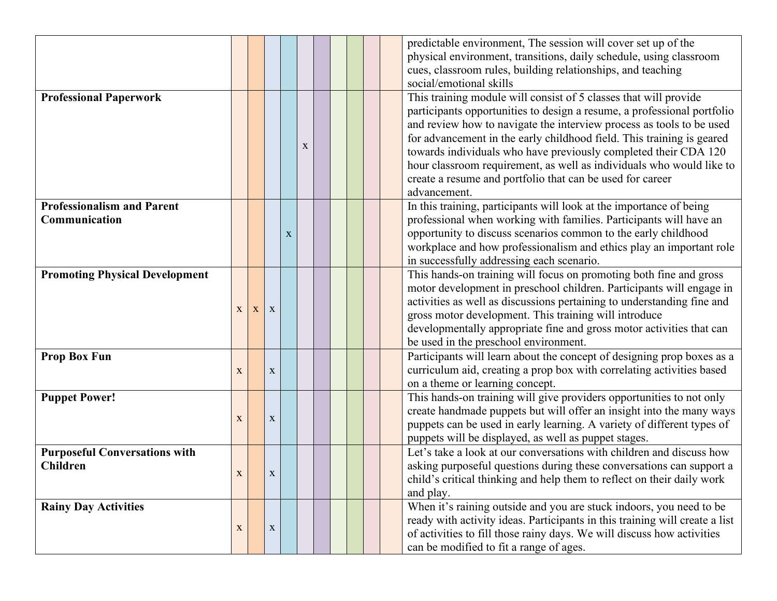|                                                         |              |   |              |             |   |  |  | predictable environment. The session will cover set up of the<br>physical environment, transitions, daily schedule, using classroom<br>cues, classroom rules, building relationships, and teaching<br>social/emotional skills                                                                                                                                                                                                                                                                                        |
|---------------------------------------------------------|--------------|---|--------------|-------------|---|--|--|----------------------------------------------------------------------------------------------------------------------------------------------------------------------------------------------------------------------------------------------------------------------------------------------------------------------------------------------------------------------------------------------------------------------------------------------------------------------------------------------------------------------|
| <b>Professional Paperwork</b>                           |              |   |              |             | X |  |  | This training module will consist of 5 classes that will provide<br>participants opportunities to design a resume, a professional portfolio<br>and review how to navigate the interview process as tools to be used<br>for advancement in the early childhood field. This training is geared<br>towards individuals who have previously completed their CDA 120<br>hour classroom requirement, as well as individuals who would like to<br>create a resume and portfolio that can be used for career<br>advancement. |
| <b>Professionalism and Parent</b><br>Communication      |              |   |              | $\mathbf X$ |   |  |  | In this training, participants will look at the importance of being<br>professional when working with families. Participants will have an<br>opportunity to discuss scenarios common to the early childhood<br>workplace and how professionalism and ethics play an important role<br>in successfully addressing each scenario.                                                                                                                                                                                      |
| <b>Promoting Physical Development</b>                   | X            | X | $\mathbf X$  |             |   |  |  | This hands-on training will focus on promoting both fine and gross<br>motor development in preschool children. Participants will engage in<br>activities as well as discussions pertaining to understanding fine and<br>gross motor development. This training will introduce<br>developmentally appropriate fine and gross motor activities that can<br>be used in the preschool environment.                                                                                                                       |
| <b>Prop Box Fun</b>                                     | $\mathbf X$  |   | $\mathbf X$  |             |   |  |  | Participants will learn about the concept of designing prop boxes as a<br>curriculum aid, creating a prop box with correlating activities based<br>on a theme or learning concept.                                                                                                                                                                                                                                                                                                                                   |
| <b>Puppet Power!</b>                                    | $\mathbf X$  |   | $\mathbf X$  |             |   |  |  | This hands-on training will give providers opportunities to not only<br>create handmade puppets but will offer an insight into the many ways<br>puppets can be used in early learning. A variety of different types of<br>puppets will be displayed, as well as puppet stages.                                                                                                                                                                                                                                       |
| <b>Purposeful Conversations with</b><br><b>Children</b> | $\mathbf{X}$ |   | $\mathbf{X}$ |             |   |  |  | Let's take a look at our conversations with children and discuss how<br>asking purposeful questions during these conversations can support a<br>child's critical thinking and help them to reflect on their daily work<br>and play.                                                                                                                                                                                                                                                                                  |
| <b>Rainy Day Activities</b>                             | $\mathbf X$  |   | $\mathbf X$  |             |   |  |  | When it's raining outside and you are stuck indoors, you need to be<br>ready with activity ideas. Participants in this training will create a list<br>of activities to fill those rainy days. We will discuss how activities<br>can be modified to fit a range of ages.                                                                                                                                                                                                                                              |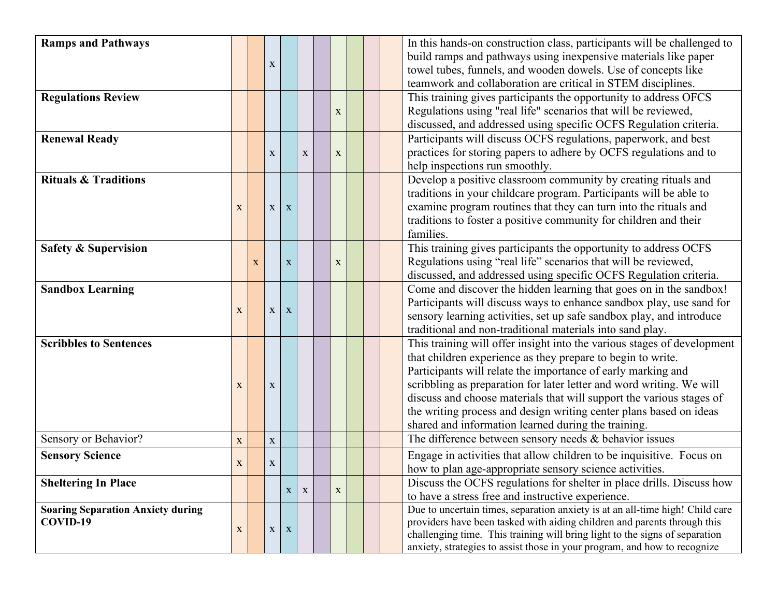| <b>Ramps and Pathways</b>                |             |   |              |             |              |              |  | In this hands-on construction class, participants will be challenged to       |
|------------------------------------------|-------------|---|--------------|-------------|--------------|--------------|--|-------------------------------------------------------------------------------|
|                                          |             |   |              |             |              |              |  | build ramps and pathways using inexpensive materials like paper               |
|                                          |             |   | X            |             |              |              |  | towel tubes, funnels, and wooden dowels. Use of concepts like                 |
|                                          |             |   |              |             |              |              |  | teamwork and collaboration are critical in STEM disciplines.                  |
| <b>Regulations Review</b>                |             |   |              |             |              |              |  | This training gives participants the opportunity to address OFCS              |
|                                          |             |   |              |             |              | X            |  | Regulations using "real life" scenarios that will be reviewed,                |
|                                          |             |   |              |             |              |              |  | discussed, and addressed using specific OCFS Regulation criteria.             |
| <b>Renewal Ready</b>                     |             |   |              |             |              |              |  | Participants will discuss OCFS regulations, paperwork, and best               |
|                                          |             |   | X            |             | X            | X            |  | practices for storing papers to adhere by OCFS regulations and to             |
|                                          |             |   |              |             |              |              |  | help inspections run smoothly.                                                |
| <b>Rituals &amp; Traditions</b>          |             |   |              |             |              |              |  | Develop a positive classroom community by creating rituals and                |
|                                          |             |   |              |             |              |              |  | traditions in your childcare program. Participants will be able to            |
|                                          | $\mathbf X$ |   | $\mathbf X$  | $\mathbf X$ |              |              |  | examine program routines that they can turn into the rituals and              |
|                                          |             |   |              |             |              |              |  | traditions to foster a positive community for children and their              |
|                                          |             |   |              |             |              |              |  | families.                                                                     |
| <b>Safety &amp; Supervision</b>          |             |   |              |             |              |              |  | This training gives participants the opportunity to address OCFS              |
|                                          |             | X |              | $\mathbf X$ |              | X            |  | Regulations using "real life" scenarios that will be reviewed,                |
|                                          |             |   |              |             |              |              |  | discussed, and addressed using specific OCFS Regulation criteria.             |
| <b>Sandbox Learning</b>                  |             |   |              |             |              |              |  | Come and discover the hidden learning that goes on in the sandbox!            |
|                                          |             |   |              |             |              |              |  | Participants will discuss ways to enhance sandbox play, use sand for          |
|                                          | X           |   | $\mathbf{X}$ | X           |              |              |  | sensory learning activities, set up safe sandbox play, and introduce          |
|                                          |             |   |              |             |              |              |  | traditional and non-traditional materials into sand play.                     |
| <b>Scribbles to Sentences</b>            |             |   |              |             |              |              |  | This training will offer insight into the various stages of development       |
|                                          |             |   |              |             |              |              |  | that children experience as they prepare to begin to write.                   |
|                                          |             |   |              |             |              |              |  | Participants will relate the importance of early marking and                  |
|                                          | X           |   | $\mathbf X$  |             |              |              |  | scribbling as preparation for later letter and word writing. We will          |
|                                          |             |   |              |             |              |              |  | discuss and choose materials that will support the various stages of          |
|                                          |             |   |              |             |              |              |  | the writing process and design writing center plans based on ideas            |
|                                          |             |   |              |             |              |              |  | shared and information learned during the training.                           |
| Sensory or Behavior?                     | X           |   | $\mathbf X$  |             |              |              |  | The difference between sensory needs $&$ behavior issues                      |
| <b>Sensory Science</b>                   |             |   |              |             |              |              |  | Engage in activities that allow children to be inquisitive. Focus on          |
|                                          | $\mathbf X$ |   | $\mathbf X$  |             |              |              |  | how to plan age-appropriate sensory science activities.                       |
| <b>Sheltering In Place</b>               |             |   |              |             |              |              |  | Discuss the OCFS regulations for shelter in place drills. Discuss how         |
|                                          |             |   |              | X           | $\mathbf{X}$ | $\mathbf{X}$ |  | to have a stress free and instructive experience.                             |
| <b>Soaring Separation Anxiety during</b> |             |   |              |             |              |              |  | Due to uncertain times, separation anxiety is at an all-time high! Child care |
| COVID-19                                 |             |   |              |             |              |              |  | providers have been tasked with aiding children and parents through this      |
|                                          | $\mathbf X$ |   | $\mathbf X$  | $\mathbf X$ |              |              |  | challenging time. This training will bring light to the signs of separation   |
|                                          |             |   |              |             |              |              |  | anxiety, strategies to assist those in your program, and how to recognize     |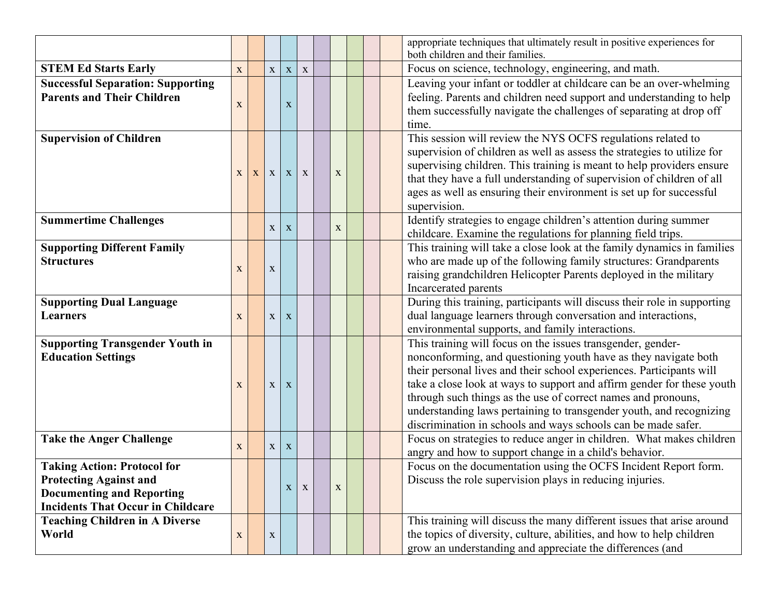|                                                                                                                                                     |             |              |                   |              |             |  | appropriate techniques that ultimately result in positive experiences for<br>both children and their families.                                                                                                                                                                                                                                                                                                                                                                            |  |  |  |
|-----------------------------------------------------------------------------------------------------------------------------------------------------|-------------|--------------|-------------------|--------------|-------------|--|-------------------------------------------------------------------------------------------------------------------------------------------------------------------------------------------------------------------------------------------------------------------------------------------------------------------------------------------------------------------------------------------------------------------------------------------------------------------------------------------|--|--|--|
| <b>STEM Ed Starts Early</b>                                                                                                                         | $\mathbf X$ | $\mathbf X$  | $\mathbf X$       | $\mathbf X$  |             |  | Focus on science, technology, engineering, and math.                                                                                                                                                                                                                                                                                                                                                                                                                                      |  |  |  |
| <b>Successful Separation: Supporting</b><br><b>Parents and Their Children</b>                                                                       | $\mathbf X$ |              | $\mathbf X$       |              |             |  | Leaving your infant or toddler at childcare can be an over-whelming<br>feeling. Parents and children need support and understanding to help<br>them successfully navigate the challenges of separating at drop off<br>time.                                                                                                                                                                                                                                                               |  |  |  |
| <b>Supervision of Children</b>                                                                                                                      | X           |              | $X \mid X \mid X$ |              | $\mathbf X$ |  | This session will review the NYS OCFS regulations related to<br>supervision of children as well as assess the strategies to utilize for<br>supervising children. This training is meant to help providers ensure<br>that they have a full understanding of supervision of children of all<br>ages as well as ensuring their environment is set up for successful<br>supervision.                                                                                                          |  |  |  |
| <b>Summertime Challenges</b>                                                                                                                        |             | $\mathbf{X}$ | $\mathbf{X}$      |              | $\mathbf X$ |  | Identify strategies to engage children's attention during summer<br>childcare. Examine the regulations for planning field trips.                                                                                                                                                                                                                                                                                                                                                          |  |  |  |
| <b>Supporting Different Family</b><br><b>Structures</b>                                                                                             | $\mathbf X$ | $\mathbf X$  |                   |              |             |  | This training will take a close look at the family dynamics in families<br>who are made up of the following family structures: Grandparents<br>raising grandchildren Helicopter Parents deployed in the military<br>Incarcerated parents                                                                                                                                                                                                                                                  |  |  |  |
| <b>Supporting Dual Language</b><br><b>Learners</b>                                                                                                  | $\mathbf X$ | $\mathbf X$  | $\mathbf X$       |              |             |  | During this training, participants will discuss their role in supporting<br>dual language learners through conversation and interactions,<br>environmental supports, and family interactions.                                                                                                                                                                                                                                                                                             |  |  |  |
| <b>Supporting Transgender Youth in</b><br><b>Education Settings</b>                                                                                 | X           | $\mathbf X$  | $\mathbf X$       |              |             |  | This training will focus on the issues transgender, gender-<br>nonconforming, and questioning youth have as they navigate both<br>their personal lives and their school experiences. Participants will<br>take a close look at ways to support and affirm gender for these youth<br>through such things as the use of correct names and pronouns,<br>understanding laws pertaining to transgender youth, and recognizing<br>discrimination in schools and ways schools can be made safer. |  |  |  |
| <b>Take the Anger Challenge</b>                                                                                                                     | $\mathbf X$ | $\mathbf X$  | $\mathbf{X}$      |              |             |  | Focus on strategies to reduce anger in children. What makes children<br>angry and how to support change in a child's behavior.                                                                                                                                                                                                                                                                                                                                                            |  |  |  |
| <b>Taking Action: Protocol for</b><br><b>Protecting Against and</b><br><b>Documenting and Reporting</b><br><b>Incidents That Occur in Childcare</b> |             |              | $\mathbf{X}$      | $\mathbf{X}$ | $\mathbf X$ |  | Focus on the documentation using the OCFS Incident Report form.<br>Discuss the role supervision plays in reducing injuries.                                                                                                                                                                                                                                                                                                                                                               |  |  |  |
| <b>Teaching Children in A Diverse</b><br>World                                                                                                      | X           | $\mathbf X$  |                   |              |             |  | This training will discuss the many different issues that arise around<br>the topics of diversity, culture, abilities, and how to help children<br>grow an understanding and appreciate the differences (and                                                                                                                                                                                                                                                                              |  |  |  |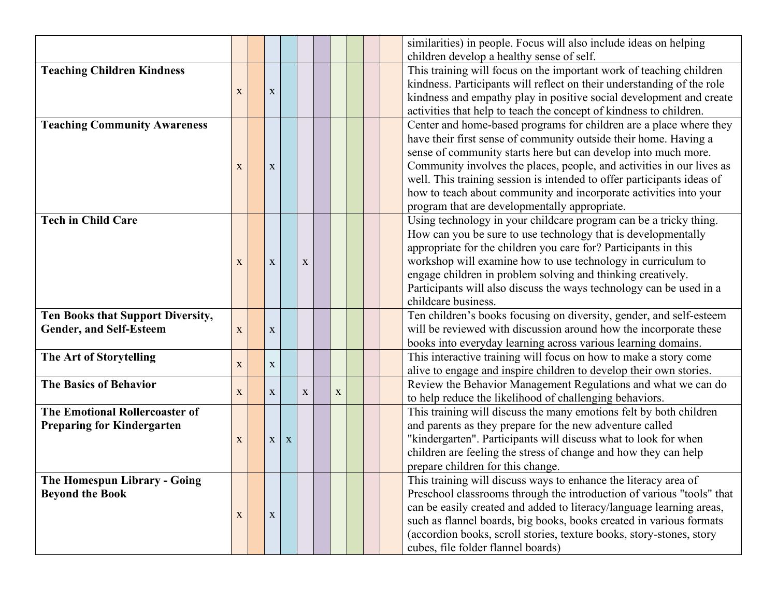|                                       |             |  |             |             |   |   |                                                                        | similarities) in people. Focus will also include ideas on helping      |
|---------------------------------------|-------------|--|-------------|-------------|---|---|------------------------------------------------------------------------|------------------------------------------------------------------------|
|                                       |             |  |             |             |   |   |                                                                        | children develop a healthy sense of self.                              |
| <b>Teaching Children Kindness</b>     |             |  |             |             |   |   |                                                                        | This training will focus on the important work of teaching children    |
|                                       |             |  |             |             |   |   | kindness. Participants will reflect on their understanding of the role |                                                                        |
|                                       | X           |  | $\mathbf X$ |             |   |   |                                                                        | kindness and empathy play in positive social development and create    |
|                                       |             |  |             |             |   |   |                                                                        | activities that help to teach the concept of kindness to children.     |
| <b>Teaching Community Awareness</b>   |             |  |             |             |   |   |                                                                        | Center and home-based programs for children are a place where they     |
|                                       |             |  |             |             |   |   |                                                                        | have their first sense of community outside their home. Having a       |
|                                       |             |  |             |             |   |   |                                                                        | sense of community starts here but can develop into much more.         |
|                                       | X           |  | $\mathbf X$ |             |   |   |                                                                        | Community involves the places, people, and activities in our lives as  |
|                                       |             |  |             |             |   |   |                                                                        | well. This training session is intended to offer participants ideas of |
|                                       |             |  |             |             |   |   |                                                                        | how to teach about community and incorporate activities into your      |
|                                       |             |  |             |             |   |   |                                                                        | program that are developmentally appropriate.                          |
| <b>Tech in Child Care</b>             |             |  |             |             |   |   |                                                                        | Using technology in your childcare program can be a tricky thing.      |
|                                       |             |  |             |             |   |   |                                                                        | How can you be sure to use technology that is developmentally          |
|                                       |             |  |             |             |   |   |                                                                        | appropriate for the children you care for? Participants in this        |
|                                       | X           |  | $\mathbf X$ |             | X |   |                                                                        | workshop will examine how to use technology in curriculum to           |
|                                       |             |  |             |             |   |   |                                                                        | engage children in problem solving and thinking creatively.            |
|                                       |             |  |             |             |   |   |                                                                        | Participants will also discuss the ways technology can be used in a    |
|                                       |             |  |             |             |   |   |                                                                        | childcare business.                                                    |
| Ten Books that Support Diversity,     |             |  |             |             |   |   |                                                                        | Ten children's books focusing on diversity, gender, and self-esteem    |
| <b>Gender, and Self-Esteem</b>        | X           |  | X           |             |   |   |                                                                        | will be reviewed with discussion around how the incorporate these      |
|                                       |             |  |             |             |   |   |                                                                        | books into everyday learning across various learning domains.          |
| The Art of Storytelling               |             |  |             |             |   |   |                                                                        | This interactive training will focus on how to make a story come       |
|                                       | $\mathbf X$ |  | $\mathbf X$ |             |   |   |                                                                        | alive to engage and inspire children to develop their own stories.     |
| <b>The Basics of Behavior</b>         |             |  |             |             |   |   |                                                                        | Review the Behavior Management Regulations and what we can do          |
|                                       | $\mathbf X$ |  | X           |             | X | X |                                                                        | to help reduce the likelihood of challenging behaviors.                |
| <b>The Emotional Rollercoaster of</b> |             |  |             |             |   |   |                                                                        | This training will discuss the many emotions felt by both children     |
| <b>Preparing for Kindergarten</b>     |             |  |             |             |   |   |                                                                        | and parents as they prepare for the new adventure called               |
|                                       | X           |  | X           | $\mathbf X$ |   |   |                                                                        | "kindergarten". Participants will discuss what to look for when        |
|                                       |             |  |             |             |   |   |                                                                        | children are feeling the stress of change and how they can help        |
|                                       |             |  |             |             |   |   |                                                                        | prepare children for this change.                                      |
| <b>The Homespun Library - Going</b>   |             |  |             |             |   |   |                                                                        | This training will discuss ways to enhance the literacy area of        |
| <b>Beyond the Book</b>                |             |  |             |             |   |   |                                                                        | Preschool classrooms through the introduction of various "tools" that  |
|                                       | $\mathbf X$ |  |             |             |   |   |                                                                        | can be easily created and added to literacy/language learning areas,   |
|                                       |             |  | $\mathbf X$ |             |   |   |                                                                        | such as flannel boards, big books, books created in various formats    |
|                                       |             |  |             |             |   |   |                                                                        | (accordion books, scroll stories, texture books, story-stones, story   |
|                                       |             |  |             |             |   |   |                                                                        | cubes, file folder flannel boards)                                     |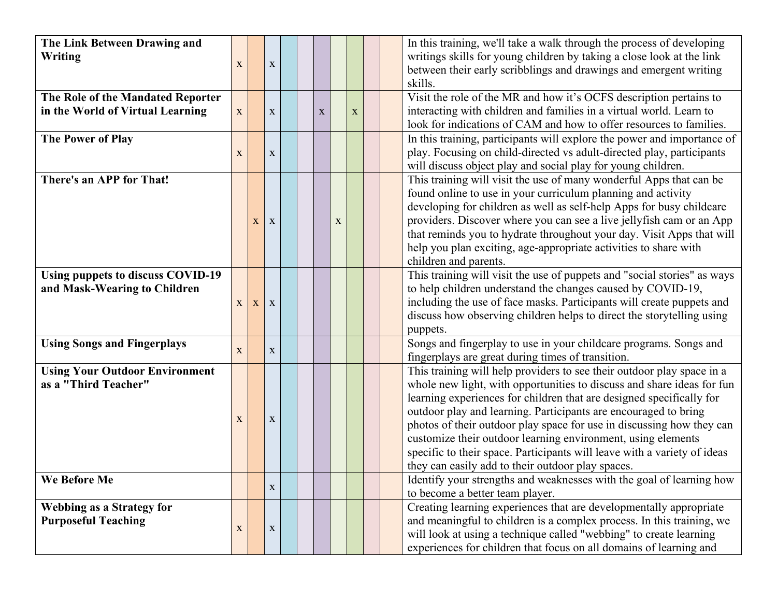| The Link Between Drawing and<br>Writing                                  | $\mathbf X$  |   | $\mathbf X$ |  |             |             |             |  | In this training, we'll take a walk through the process of developing<br>writings skills for young children by taking a close look at the link<br>between their early scribblings and drawings and emergent writing<br>skills.                                                                                                                                                                                                                                                                                                                                        |
|--------------------------------------------------------------------------|--------------|---|-------------|--|-------------|-------------|-------------|--|-----------------------------------------------------------------------------------------------------------------------------------------------------------------------------------------------------------------------------------------------------------------------------------------------------------------------------------------------------------------------------------------------------------------------------------------------------------------------------------------------------------------------------------------------------------------------|
| The Role of the Mandated Reporter<br>in the World of Virtual Learning    | X            |   | $\mathbf X$ |  | $\mathbf X$ |             | $\mathbf X$ |  | Visit the role of the MR and how it's OCFS description pertains to<br>interacting with children and families in a virtual world. Learn to<br>look for indications of CAM and how to offer resources to families.                                                                                                                                                                                                                                                                                                                                                      |
| <b>The Power of Play</b>                                                 | X            |   | $\mathbf X$ |  |             |             |             |  | In this training, participants will explore the power and importance of<br>play. Focusing on child-directed vs adult-directed play, participants<br>will discuss object play and social play for young children.                                                                                                                                                                                                                                                                                                                                                      |
| There's an APP for That!                                                 |              | X | X           |  |             | $\mathbf X$ |             |  | This training will visit the use of many wonderful Apps that can be<br>found online to use in your curriculum planning and activity<br>developing for children as well as self-help Apps for busy childcare<br>providers. Discover where you can see a live jellyfish cam or an App<br>that reminds you to hydrate throughout your day. Visit Apps that will<br>help you plan exciting, age-appropriate activities to share with<br>children and parents.                                                                                                             |
| <b>Using puppets to discuss COVID-19</b><br>and Mask-Wearing to Children | $\mathbf{X}$ | X | X           |  |             |             |             |  | This training will visit the use of puppets and "social stories" as ways<br>to help children understand the changes caused by COVID-19,<br>including the use of face masks. Participants will create puppets and<br>discuss how observing children helps to direct the storytelling using<br>puppets.                                                                                                                                                                                                                                                                 |
| <b>Using Songs and Fingerplays</b>                                       | X            |   | $\mathbf X$ |  |             |             |             |  | Songs and fingerplay to use in your childcare programs. Songs and<br>fingerplays are great during times of transition.                                                                                                                                                                                                                                                                                                                                                                                                                                                |
| <b>Using Your Outdoor Environment</b><br>as a "Third Teacher"            | X            |   | $\mathbf X$ |  |             |             |             |  | This training will help providers to see their outdoor play space in a<br>whole new light, with opportunities to discuss and share ideas for fun<br>learning experiences for children that are designed specifically for<br>outdoor play and learning. Participants are encouraged to bring<br>photos of their outdoor play space for use in discussing how they can<br>customize their outdoor learning environment, using elements<br>specific to their space. Participants will leave with a variety of ideas<br>they can easily add to their outdoor play spaces. |
| We Before Me                                                             |              |   | $\mathbf X$ |  |             |             |             |  | Identify your strengths and weaknesses with the goal of learning how<br>to become a better team player.                                                                                                                                                                                                                                                                                                                                                                                                                                                               |
| <b>Webbing as a Strategy for</b><br><b>Purposeful Teaching</b>           | $\mathbf X$  |   | $\mathbf X$ |  |             |             |             |  | Creating learning experiences that are developmentally appropriate<br>and meaningful to children is a complex process. In this training, we<br>will look at using a technique called "webbing" to create learning<br>experiences for children that focus on all domains of learning and                                                                                                                                                                                                                                                                               |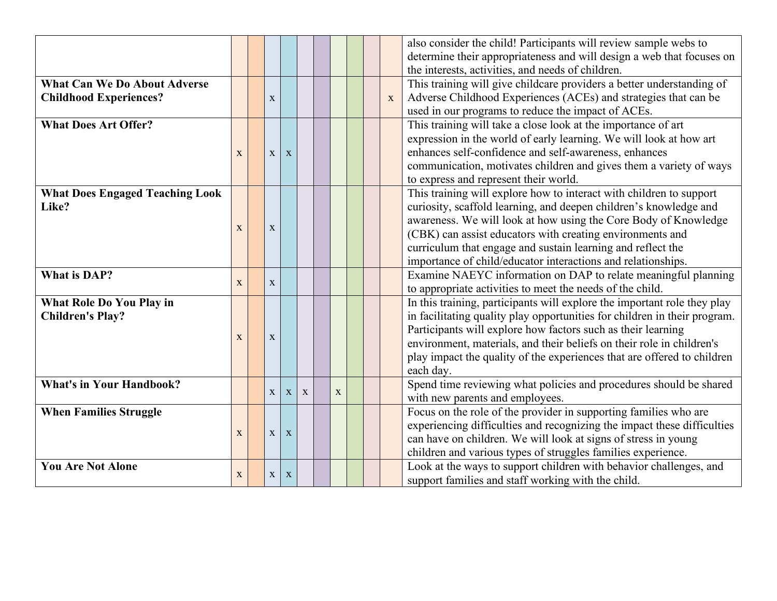|                                        |             |              |   |   |   |  |              | also consider the child! Participants will review sample webs to          |  |  |  |  |  |
|----------------------------------------|-------------|--------------|---|---|---|--|--------------|---------------------------------------------------------------------------|--|--|--|--|--|
|                                        |             |              |   |   |   |  |              | determine their appropriateness and will design a web that focuses on     |  |  |  |  |  |
|                                        |             |              |   |   |   |  |              | the interests, activities, and needs of children.                         |  |  |  |  |  |
| <b>What Can We Do About Adverse</b>    |             |              |   |   |   |  |              | This training will give childcare providers a better understanding of     |  |  |  |  |  |
| <b>Childhood Experiences?</b>          |             | X            |   |   |   |  | $\mathbf{X}$ | Adverse Childhood Experiences (ACEs) and strategies that can be           |  |  |  |  |  |
|                                        |             |              |   |   |   |  |              | used in our programs to reduce the impact of ACEs.                        |  |  |  |  |  |
| <b>What Does Art Offer?</b>            |             |              |   |   |   |  |              | This training will take a close look at the importance of art             |  |  |  |  |  |
|                                        |             |              |   |   |   |  |              | expression in the world of early learning. We will look at how art        |  |  |  |  |  |
|                                        | X           | X            | X |   |   |  |              | enhances self-confidence and self-awareness, enhances                     |  |  |  |  |  |
|                                        |             |              |   |   |   |  |              | communication, motivates children and gives them a variety of ways        |  |  |  |  |  |
|                                        |             |              |   |   |   |  |              | to express and represent their world.                                     |  |  |  |  |  |
| <b>What Does Engaged Teaching Look</b> |             |              |   |   |   |  |              | This training will explore how to interact with children to support       |  |  |  |  |  |
| Like?                                  |             |              |   |   |   |  |              | curiosity, scaffold learning, and deepen children's knowledge and         |  |  |  |  |  |
|                                        |             |              |   |   |   |  |              | awareness. We will look at how using the Core Body of Knowledge           |  |  |  |  |  |
|                                        | X           | X            |   |   |   |  |              | (CBK) can assist educators with creating environments and                 |  |  |  |  |  |
|                                        |             |              |   |   |   |  |              | curriculum that engage and sustain learning and reflect the               |  |  |  |  |  |
|                                        |             |              |   |   |   |  |              | importance of child/educator interactions and relationships.              |  |  |  |  |  |
| <b>What is DAP?</b>                    |             |              |   |   |   |  |              | Examine NAEYC information on DAP to relate meaningful planning            |  |  |  |  |  |
|                                        | X           | X            |   |   |   |  |              | to appropriate activities to meet the needs of the child.                 |  |  |  |  |  |
| What Role Do You Play in               |             |              |   |   |   |  |              | In this training, participants will explore the important role they play  |  |  |  |  |  |
| <b>Children's Play?</b>                |             |              |   |   |   |  |              | in facilitating quality play opportunities for children in their program. |  |  |  |  |  |
|                                        |             |              |   |   |   |  |              | Participants will explore how factors such as their learning              |  |  |  |  |  |
|                                        | X           | $\mathbf{X}$ |   |   |   |  |              | environment, materials, and their beliefs on their role in children's     |  |  |  |  |  |
|                                        |             |              |   |   |   |  |              | play impact the quality of the experiences that are offered to children   |  |  |  |  |  |
|                                        |             |              |   |   |   |  |              | each day.                                                                 |  |  |  |  |  |
| <b>What's in Your Handbook?</b>        |             |              |   |   |   |  |              | Spend time reviewing what policies and procedures should be shared        |  |  |  |  |  |
|                                        |             | $\mathbf{X}$ | X | X | X |  |              | with new parents and employees.                                           |  |  |  |  |  |
| <b>When Families Struggle</b>          |             |              |   |   |   |  |              | Focus on the role of the provider in supporting families who are          |  |  |  |  |  |
|                                        |             |              |   |   |   |  |              | experiencing difficulties and recognizing the impact these difficulties   |  |  |  |  |  |
|                                        | X           | $\mathbf X$  | X |   |   |  |              | can have on children. We will look at signs of stress in young            |  |  |  |  |  |
|                                        |             |              |   |   |   |  |              | children and various types of struggles families experience.              |  |  |  |  |  |
| <b>You Are Not Alone</b>               |             |              |   |   |   |  |              | Look at the ways to support children with behavior challenges, and        |  |  |  |  |  |
|                                        | $\mathbf X$ | $\mathbf{X}$ | X |   |   |  |              | support families and staff working with the child.                        |  |  |  |  |  |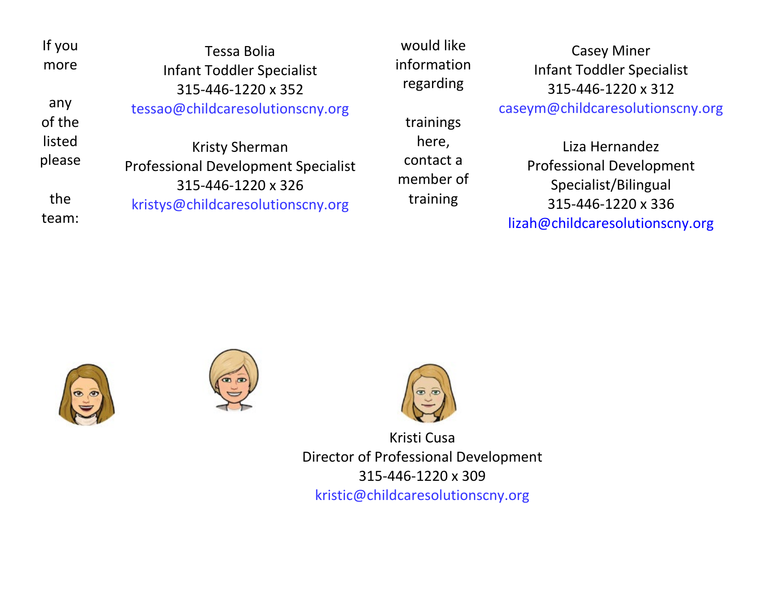| If you<br>more   | Tessa Bolia<br><b>Infant Toddler Specialist</b><br>315-446-1220 x 352                     | would like<br>informatio<br>regarding |
|------------------|-------------------------------------------------------------------------------------------|---------------------------------------|
| any<br>of the    | tessao@childcaresolutionscny.org                                                          | trainings                             |
| listed<br>please | <b>Kristy Sherman</b><br><b>Professional Development Specialist</b><br>315-446-1220 x 326 | here,<br>contact a<br>member o        |
| the<br>team:     | kristys@childcaresolutionscny.org                                                         | training                              |

would like information regarding

contact a member of

Casey Miner Infant Toddler Specialist 315-446-1220 x 312

caseym@childcaresolutionscny.org

Liza Hernandez Professional Development Specialist/Bilingual 315-446-1220 x 336 [lizah@childcaresolutionscny.org](mailto:lizah@childcaresolutionscny.org)







Kristi Cusa Director of Professional Development 315-446-1220 x 309 kristic@childcaresolutionscny.org